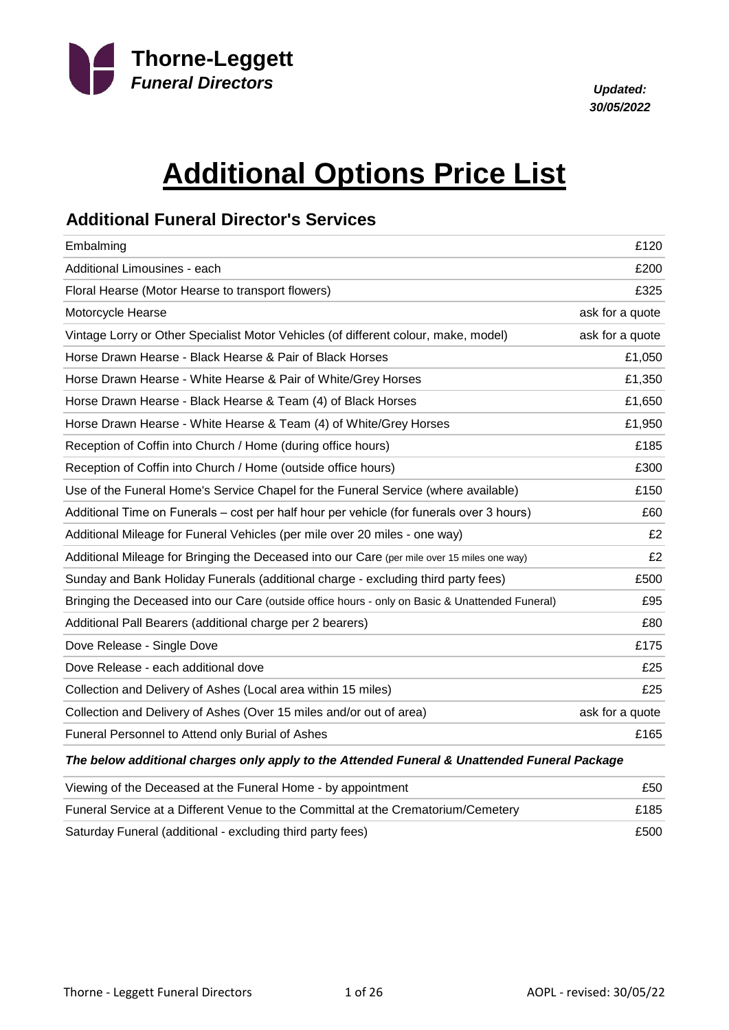

*30/05/2022*

# **Additional Options Price List**

#### **Additional Funeral Director's Services**

| Embalming                                                                                       | £120            |
|-------------------------------------------------------------------------------------------------|-----------------|
| Additional Limousines - each                                                                    | £200            |
| Floral Hearse (Motor Hearse to transport flowers)                                               | £325            |
| Motorcycle Hearse                                                                               | ask for a quote |
| Vintage Lorry or Other Specialist Motor Vehicles (of different colour, make, model)             | ask for a quote |
| Horse Drawn Hearse - Black Hearse & Pair of Black Horses                                        | £1,050          |
| Horse Drawn Hearse - White Hearse & Pair of White/Grey Horses                                   | £1,350          |
| Horse Drawn Hearse - Black Hearse & Team (4) of Black Horses                                    | £1,650          |
| Horse Drawn Hearse - White Hearse & Team (4) of White/Grey Horses                               | £1,950          |
| Reception of Coffin into Church / Home (during office hours)                                    | £185            |
| Reception of Coffin into Church / Home (outside office hours)                                   | £300            |
| Use of the Funeral Home's Service Chapel for the Funeral Service (where available)              | £150            |
| Additional Time on Funerals – cost per half hour per vehicle (for funerals over 3 hours)        | £60             |
| Additional Mileage for Funeral Vehicles (per mile over 20 miles - one way)                      | £2              |
| Additional Mileage for Bringing the Deceased into our Care (per mile over 15 miles one way)     | £2              |
| Sunday and Bank Holiday Funerals (additional charge - excluding third party fees)               | £500            |
| Bringing the Deceased into our Care (outside office hours - only on Basic & Unattended Funeral) | £95             |
| Additional Pall Bearers (additional charge per 2 bearers)                                       | £80             |
| Dove Release - Single Dove                                                                      | £175            |
| Dove Release - each additional dove                                                             | £25             |
| Collection and Delivery of Ashes (Local area within 15 miles)                                   | £25             |
| Collection and Delivery of Ashes (Over 15 miles and/or out of area)                             | ask for a quote |
| Funeral Personnel to Attend only Burial of Ashes                                                | £165            |

#### *The below additional charges only apply to the Attended Funeral & Unattended Funeral Package*

| Viewing of the Deceased at the Funeral Home - by appointment                      | £50  |
|-----------------------------------------------------------------------------------|------|
| Funeral Service at a Different Venue to the Committal at the Crematorium/Cemetery | £185 |
| Saturday Funeral (additional - excluding third party fees)                        | £500 |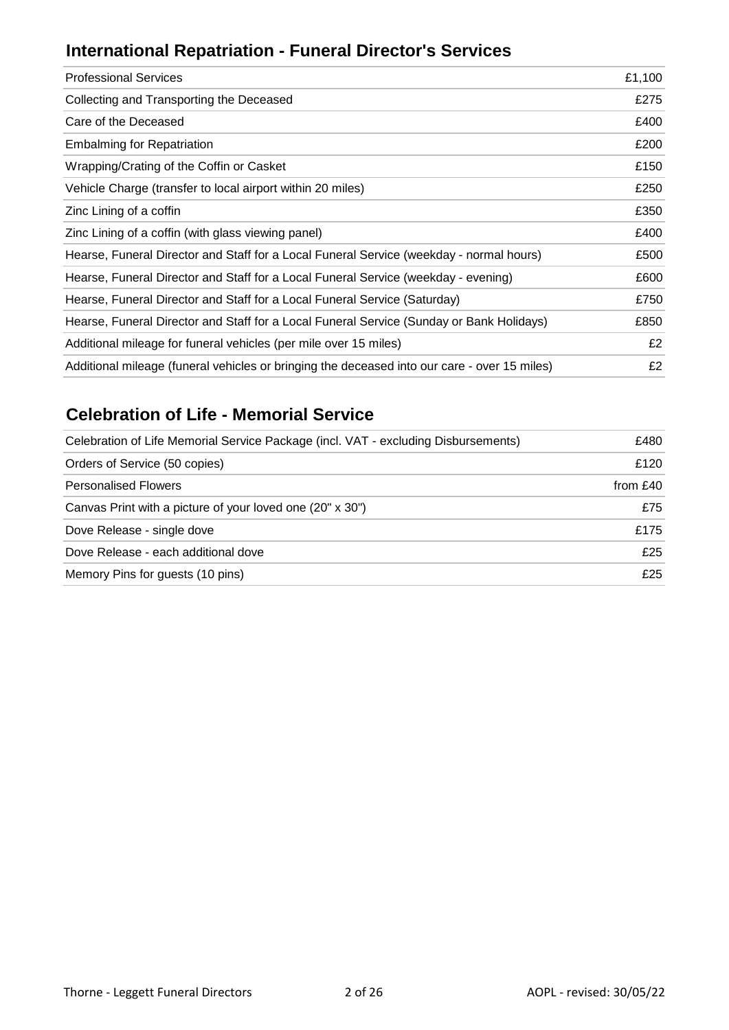## **International Repatriation - Funeral Director's Services**

| <b>Professional Services</b>                                                                 | £1,100 |
|----------------------------------------------------------------------------------------------|--------|
| Collecting and Transporting the Deceased                                                     | £275   |
| Care of the Deceased                                                                         | £400   |
| <b>Embalming for Repatriation</b>                                                            | £200   |
| Wrapping/Crating of the Coffin or Casket                                                     | £150   |
| Vehicle Charge (transfer to local airport within 20 miles)                                   | £250   |
| Zinc Lining of a coffin                                                                      | £350   |
| Zinc Lining of a coffin (with glass viewing panel)                                           | £400   |
| Hearse, Funeral Director and Staff for a Local Funeral Service (weekday - normal hours)      | £500   |
| Hearse, Funeral Director and Staff for a Local Funeral Service (weekday - evening)           | £600   |
| Hearse, Funeral Director and Staff for a Local Funeral Service (Saturday)                    | £750   |
| Hearse, Funeral Director and Staff for a Local Funeral Service (Sunday or Bank Holidays)     | £850   |
| Additional mileage for funeral vehicles (per mile over 15 miles)                             | £2     |
| Additional mileage (funeral vehicles or bringing the deceased into our care - over 15 miles) | £2     |
|                                                                                              |        |

## **Celebration of Life - Memorial Service**

| Celebration of Life Memorial Service Package (incl. VAT - excluding Disbursements) | £480     |
|------------------------------------------------------------------------------------|----------|
| Orders of Service (50 copies)                                                      | £120     |
| <b>Personalised Flowers</b>                                                        | from £40 |
| Canvas Print with a picture of your loved one (20" x 30")                          | £75      |
| Dove Release - single dove                                                         | £175     |
| Dove Release - each additional dove                                                | £25      |
| Memory Pins for guests (10 pins)                                                   | £25      |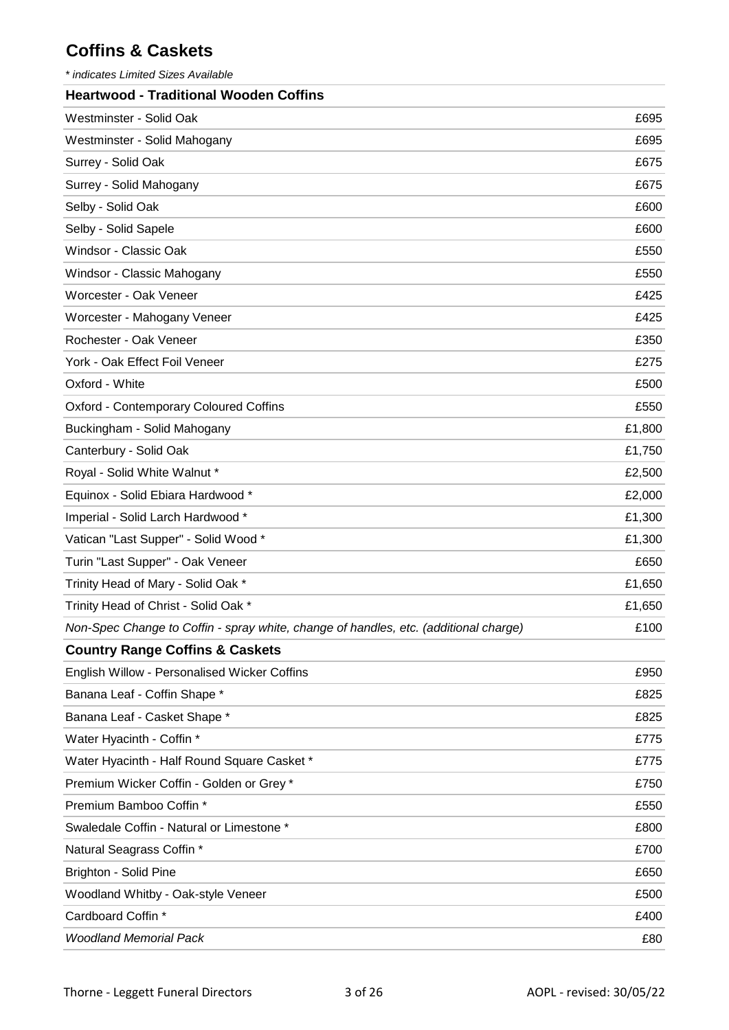## **Coffins & Caskets**

*\* indicates Limited Sizes Available*

| <b>Heartwood - Traditional Wooden Coffins</b>                                        |        |
|--------------------------------------------------------------------------------------|--------|
| Westminster - Solid Oak                                                              | £695   |
| Westminster - Solid Mahogany                                                         | £695   |
| Surrey - Solid Oak                                                                   | £675   |
| Surrey - Solid Mahogany                                                              | £675   |
| Selby - Solid Oak                                                                    | £600   |
| Selby - Solid Sapele                                                                 | £600   |
| Windsor - Classic Oak                                                                | £550   |
| Windsor - Classic Mahogany                                                           | £550   |
| Worcester - Oak Veneer                                                               | £425   |
| Worcester - Mahogany Veneer                                                          | £425   |
| Rochester - Oak Veneer                                                               | £350   |
| York - Oak Effect Foil Veneer                                                        | £275   |
| Oxford - White                                                                       | £500   |
| <b>Oxford - Contemporary Coloured Coffins</b>                                        | £550   |
| Buckingham - Solid Mahogany                                                          | £1,800 |
| Canterbury - Solid Oak                                                               | £1,750 |
| Royal - Solid White Walnut *                                                         | £2,500 |
| Equinox - Solid Ebiara Hardwood *                                                    | £2,000 |
| Imperial - Solid Larch Hardwood *                                                    | £1,300 |
| Vatican "Last Supper" - Solid Wood *                                                 | £1,300 |
| Turin "Last Supper" - Oak Veneer                                                     | £650   |
| Trinity Head of Mary - Solid Oak *                                                   | £1,650 |
| Trinity Head of Christ - Solid Oak *                                                 | £1,650 |
| Non-Spec Change to Coffin - spray white, change of handles, etc. (additional charge) | £100   |
| <b>Country Range Coffins &amp; Caskets</b>                                           |        |
| English Willow - Personalised Wicker Coffins                                         | £950   |
| Banana Leaf - Coffin Shape *                                                         | £825   |
| Banana Leaf - Casket Shape *                                                         | £825   |
| Water Hyacinth - Coffin *                                                            | £775   |
| Water Hyacinth - Half Round Square Casket *                                          | £775   |
| Premium Wicker Coffin - Golden or Grey *                                             | £750   |
| Premium Bamboo Coffin *                                                              | £550   |
| Swaledale Coffin - Natural or Limestone *                                            | £800   |
| Natural Seagrass Coffin *                                                            | £700   |
| <b>Brighton - Solid Pine</b>                                                         | £650   |
| Woodland Whitby - Oak-style Veneer                                                   | £500   |
| Cardboard Coffin *                                                                   | £400   |
| <b>Woodland Memorial Pack</b>                                                        | £80    |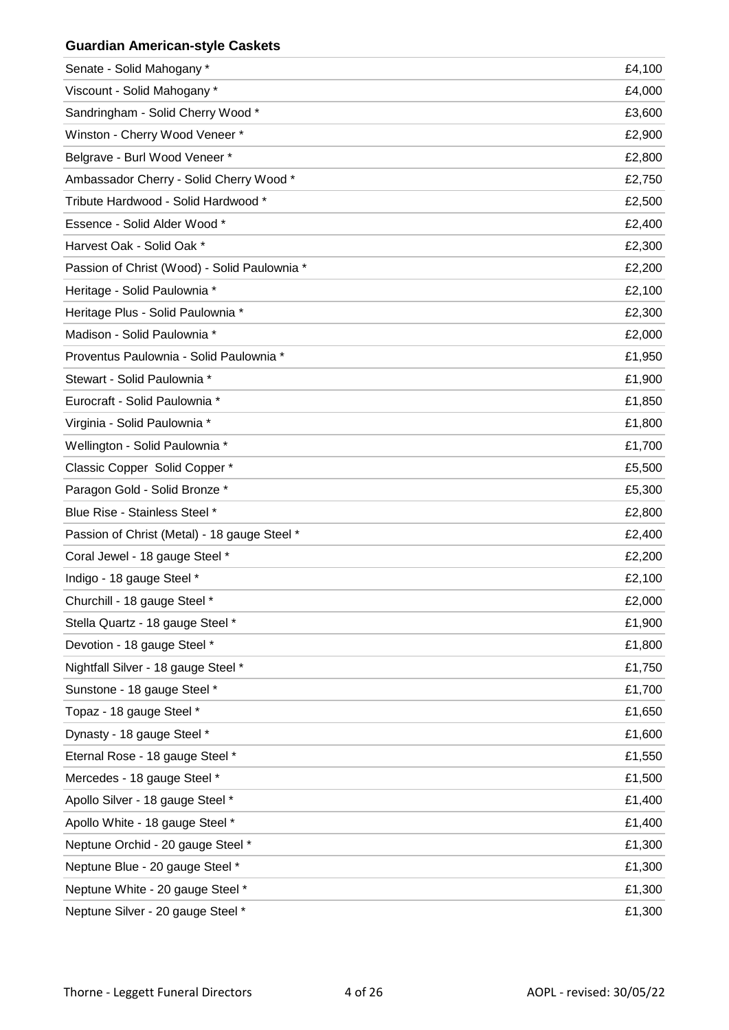#### **Guardian American-style Caskets**

| Senate - Solid Mahogany *                    | £4,100 |
|----------------------------------------------|--------|
| Viscount - Solid Mahogany *                  | £4,000 |
| Sandringham - Solid Cherry Wood *            | £3,600 |
| Winston - Cherry Wood Veneer *               | £2,900 |
| Belgrave - Burl Wood Veneer *                | £2,800 |
| Ambassador Cherry - Solid Cherry Wood *      | £2,750 |
| Tribute Hardwood - Solid Hardwood *          | £2,500 |
| Essence - Solid Alder Wood *                 | £2,400 |
| Harvest Oak - Solid Oak *                    | £2,300 |
| Passion of Christ (Wood) - Solid Paulownia * | £2,200 |
| Heritage - Solid Paulownia *                 | £2,100 |
| Heritage Plus - Solid Paulownia *            | £2,300 |
| Madison - Solid Paulownia *                  | £2,000 |
| Proventus Paulownia - Solid Paulownia *      | £1,950 |
| Stewart - Solid Paulownia *                  | £1,900 |
| Eurocraft - Solid Paulownia *                | £1,850 |
| Virginia - Solid Paulownia *                 | £1,800 |
| Wellington - Solid Paulownia *               | £1,700 |
| Classic Copper Solid Copper *                | £5,500 |
| Paragon Gold - Solid Bronze *                | £5,300 |
| Blue Rise - Stainless Steel *                | £2,800 |
| Passion of Christ (Metal) - 18 gauge Steel * | £2,400 |
| Coral Jewel - 18 gauge Steel *               | £2,200 |
| Indigo - 18 gauge Steel *                    | £2,100 |
| Churchill - 18 gauge Steel *                 | £2,000 |
| Stella Quartz - 18 gauge Steel *             | £1,900 |
| Devotion - 18 gauge Steel *                  | £1,800 |
| Nightfall Silver - 18 gauge Steel *          | £1,750 |
| Sunstone - 18 gauge Steel *                  | £1,700 |
| Topaz - 18 gauge Steel *                     | £1,650 |
| Dynasty - 18 gauge Steel *                   | £1,600 |
| Eternal Rose - 18 gauge Steel *              | £1,550 |
| Mercedes - 18 gauge Steel *                  | £1,500 |
| Apollo Silver - 18 gauge Steel *             | £1,400 |
| Apollo White - 18 gauge Steel *              | £1,400 |
| Neptune Orchid - 20 gauge Steel *            | £1,300 |
| Neptune Blue - 20 gauge Steel *              | £1,300 |
| Neptune White - 20 gauge Steel *             | £1,300 |
| Neptune Silver - 20 gauge Steel *            | £1,300 |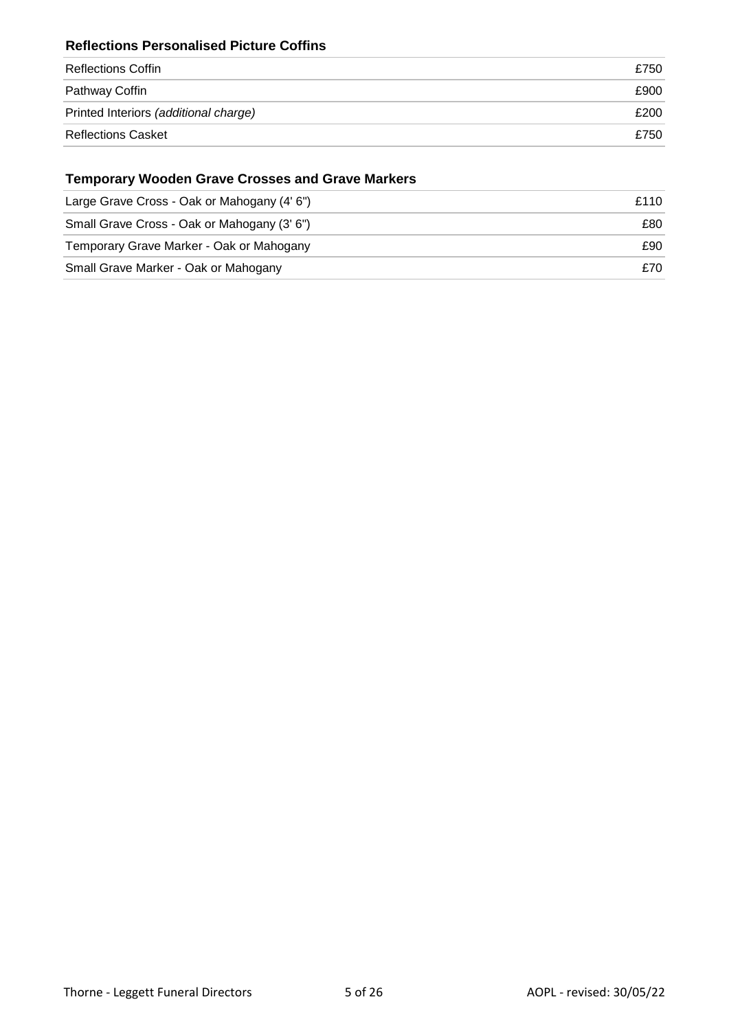#### **Reflections Personalised Picture Coffins**

| Reflections Coffin                    | £750 |
|---------------------------------------|------|
| Pathway Coffin                        | £900 |
| Printed Interiors (additional charge) | £200 |
| <b>Reflections Casket</b>             | £750 |

#### **Temporary Wooden Grave Crosses and Grave Markers**

| Large Grave Cross - Oak or Mahogany (4' 6") | £110 |
|---------------------------------------------|------|
| Small Grave Cross - Oak or Mahogany (3' 6") | £80  |
| Temporary Grave Marker - Oak or Mahogany    | £90  |
| Small Grave Marker - Oak or Mahogany        | £70  |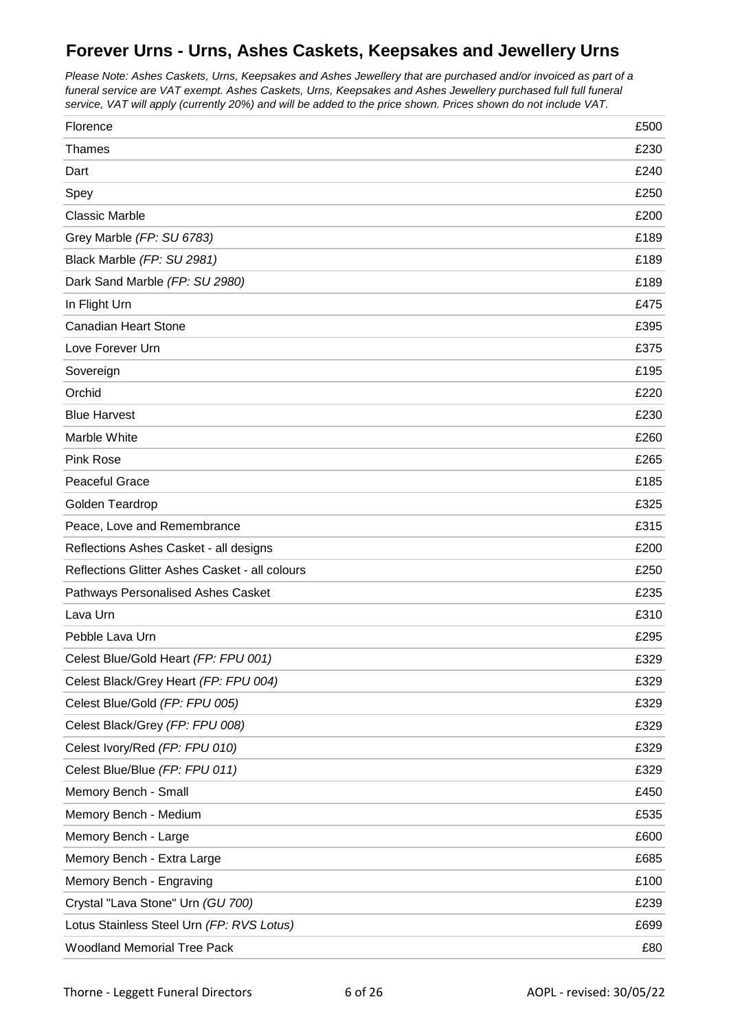## **Forever Urns - Urns, Ashes Caskets, Keepsakes and Jewellery Urns**

*Please Note: Ashes Caskets, Urns, Keepsakes and Ashes Jewellery that are purchased and/or invoiced as part of a funeral service are VAT exempt. Ashes Caskets, Urns, Keepsakes and Ashes Jewellery purchased full full funeral service, VAT will apply (currently 20%) and will be added to the price shown. Prices shown do not include VAT.*

| Florence                                       | £500 |
|------------------------------------------------|------|
| <b>Thames</b>                                  | £230 |
| Dart                                           | £240 |
| Spey                                           | £250 |
| <b>Classic Marble</b>                          | £200 |
| Grey Marble (FP: SU 6783)                      | £189 |
| Black Marble (FP: SU 2981)                     | £189 |
| Dark Sand Marble (FP: SU 2980)                 | £189 |
| In Flight Urn                                  | £475 |
| <b>Canadian Heart Stone</b>                    | £395 |
| Love Forever Urn                               | £375 |
| Sovereign                                      | £195 |
| Orchid                                         | £220 |
| <b>Blue Harvest</b>                            | £230 |
| Marble White                                   | £260 |
| <b>Pink Rose</b>                               | £265 |
| <b>Peaceful Grace</b>                          | £185 |
| Golden Teardrop                                | £325 |
| Peace, Love and Remembrance                    | £315 |
| Reflections Ashes Casket - all designs         | £200 |
| Reflections Glitter Ashes Casket - all colours | £250 |
| Pathways Personalised Ashes Casket             | £235 |
| Lava Urn                                       | £310 |
| Pebble Lava Urn                                | £295 |
| Celest Blue/Gold Heart (FP: FPU 001)           | £329 |
| Celest Black/Grey Heart (FP: FPU 004)          | £329 |
| Celest Blue/Gold (FP: FPU 005)                 | £329 |
| Celest Black/Grey (FP: FPU 008)                | £329 |
| Celest Ivory/Red (FP: FPU 010)                 | £329 |
| Celest Blue/Blue (FP: FPU 011)                 | £329 |
| Memory Bench - Small                           | £450 |
| Memory Bench - Medium                          | £535 |
| Memory Bench - Large                           | £600 |
| Memory Bench - Extra Large                     | £685 |
| Memory Bench - Engraving                       | £100 |
| Crystal "Lava Stone" Urn (GU 700)              | £239 |
| Lotus Stainless Steel Urn (FP: RVS Lotus)      | £699 |
| <b>Woodland Memorial Tree Pack</b>             | £80  |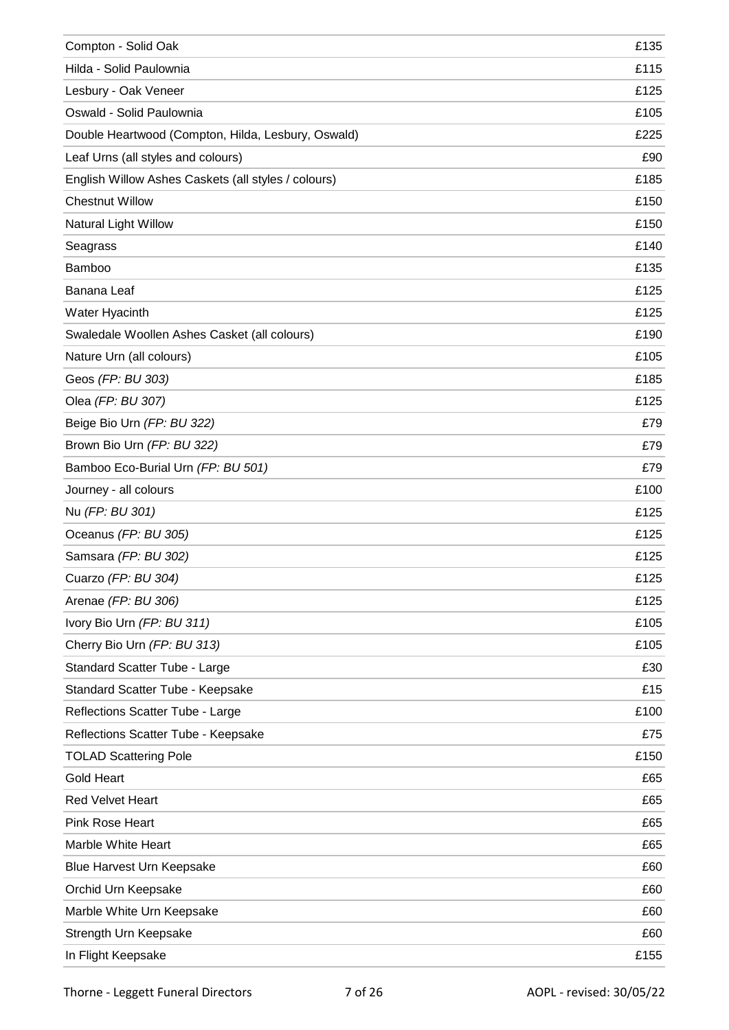| Compton - Solid Oak                                 | £135 |
|-----------------------------------------------------|------|
| Hilda - Solid Paulownia                             | £115 |
| Lesbury - Oak Veneer                                | £125 |
| Oswald - Solid Paulownia                            | £105 |
| Double Heartwood (Compton, Hilda, Lesbury, Oswald)  | £225 |
| Leaf Urns (all styles and colours)                  | £90  |
| English Willow Ashes Caskets (all styles / colours) | £185 |
| <b>Chestnut Willow</b>                              | £150 |
| Natural Light Willow                                | £150 |
| Seagrass                                            | £140 |
| Bamboo                                              | £135 |
| Banana Leaf                                         | £125 |
| Water Hyacinth                                      | £125 |
| Swaledale Woollen Ashes Casket (all colours)        | £190 |
| Nature Urn (all colours)                            | £105 |
| Geos (FP: BU 303)                                   | £185 |
| Olea (FP: BU 307)                                   | £125 |
| Beige Bio Urn (FP: BU 322)                          | £79  |
| Brown Bio Urn (FP: BU 322)                          | £79  |
| Bamboo Eco-Burial Urn (FP: BU 501)                  | £79  |
| Journey - all colours                               | £100 |
| Nu (FP: BU 301)                                     | £125 |
| Oceanus (FP: BU 305)                                | £125 |
| Samsara (FP: BU 302)                                | £125 |
| Cuarzo (FP: BU 304)                                 | £125 |
| Arenae (FP: BU 306)                                 | £125 |
| Ivory Bio Urn (FP: BU 311)                          | £105 |
| Cherry Bio Urn (FP: BU 313)                         | £105 |
| Standard Scatter Tube - Large                       | £30  |
| Standard Scatter Tube - Keepsake                    | £15  |
| Reflections Scatter Tube - Large                    | £100 |
| Reflections Scatter Tube - Keepsake                 | £75  |
| <b>TOLAD Scattering Pole</b>                        | £150 |
| <b>Gold Heart</b>                                   | £65  |
| <b>Red Velvet Heart</b>                             | £65  |
| Pink Rose Heart                                     | £65  |
| Marble White Heart                                  | £65  |
| Blue Harvest Urn Keepsake                           | £60  |
| Orchid Urn Keepsake                                 | £60  |
| Marble White Urn Keepsake                           | £60  |
| Strength Urn Keepsake                               | £60  |
| In Flight Keepsake                                  | £155 |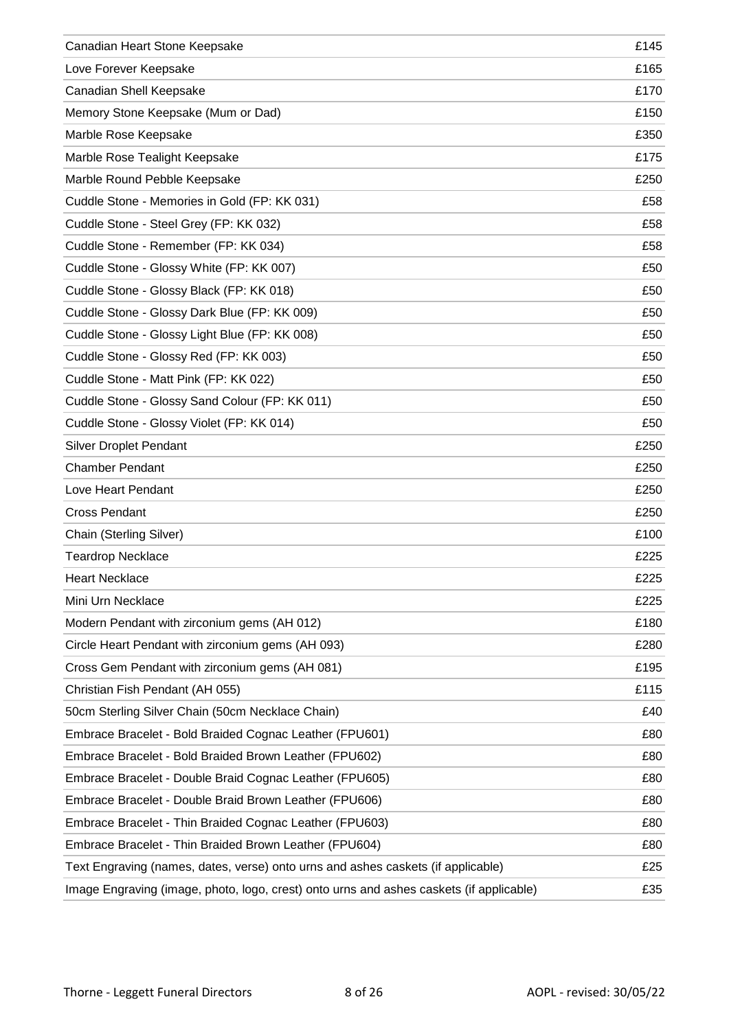| Canadian Heart Stone Keepsake                                                           | £145 |
|-----------------------------------------------------------------------------------------|------|
| Love Forever Keepsake                                                                   | £165 |
| Canadian Shell Keepsake                                                                 | £170 |
| Memory Stone Keepsake (Mum or Dad)                                                      | £150 |
| Marble Rose Keepsake                                                                    | £350 |
| Marble Rose Tealight Keepsake                                                           | £175 |
| Marble Round Pebble Keepsake                                                            | £250 |
| Cuddle Stone - Memories in Gold (FP: KK 031)                                            | £58  |
| Cuddle Stone - Steel Grey (FP: KK 032)                                                  | £58  |
| Cuddle Stone - Remember (FP: KK 034)                                                    | £58  |
| Cuddle Stone - Glossy White (FP: KK 007)                                                | £50  |
| Cuddle Stone - Glossy Black (FP: KK 018)                                                | £50  |
| Cuddle Stone - Glossy Dark Blue (FP: KK 009)                                            | £50  |
| Cuddle Stone - Glossy Light Blue (FP: KK 008)                                           | £50  |
| Cuddle Stone - Glossy Red (FP: KK 003)                                                  | £50  |
| Cuddle Stone - Matt Pink (FP: KK 022)                                                   | £50  |
| Cuddle Stone - Glossy Sand Colour (FP: KK 011)                                          | £50  |
| Cuddle Stone - Glossy Violet (FP: KK 014)                                               | £50  |
| <b>Silver Droplet Pendant</b>                                                           | £250 |
| <b>Chamber Pendant</b>                                                                  | £250 |
| Love Heart Pendant                                                                      | £250 |
| <b>Cross Pendant</b>                                                                    | £250 |
| Chain (Sterling Silver)                                                                 | £100 |
| <b>Teardrop Necklace</b>                                                                | £225 |
| <b>Heart Necklace</b>                                                                   | £225 |
| Mini Urn Necklace                                                                       | £225 |
| Modern Pendant with zirconium gems (AH 012)                                             | £180 |
| Circle Heart Pendant with zirconium gems (AH 093)                                       | £280 |
| Cross Gem Pendant with zirconium gems (AH 081)                                          | £195 |
| Christian Fish Pendant (AH 055)                                                         | £115 |
| 50cm Sterling Silver Chain (50cm Necklace Chain)                                        | £40  |
| Embrace Bracelet - Bold Braided Cognac Leather (FPU601)                                 | £80  |
| Embrace Bracelet - Bold Braided Brown Leather (FPU602)                                  | £80  |
| Embrace Bracelet - Double Braid Cognac Leather (FPU605)                                 | £80  |
| Embrace Bracelet - Double Braid Brown Leather (FPU606)                                  | £80  |
| Embrace Bracelet - Thin Braided Cognac Leather (FPU603)                                 | £80  |
| Embrace Bracelet - Thin Braided Brown Leather (FPU604)                                  | £80  |
| Text Engraving (names, dates, verse) onto urns and ashes caskets (if applicable)        | £25  |
| Image Engraving (image, photo, logo, crest) onto urns and ashes caskets (if applicable) | £35  |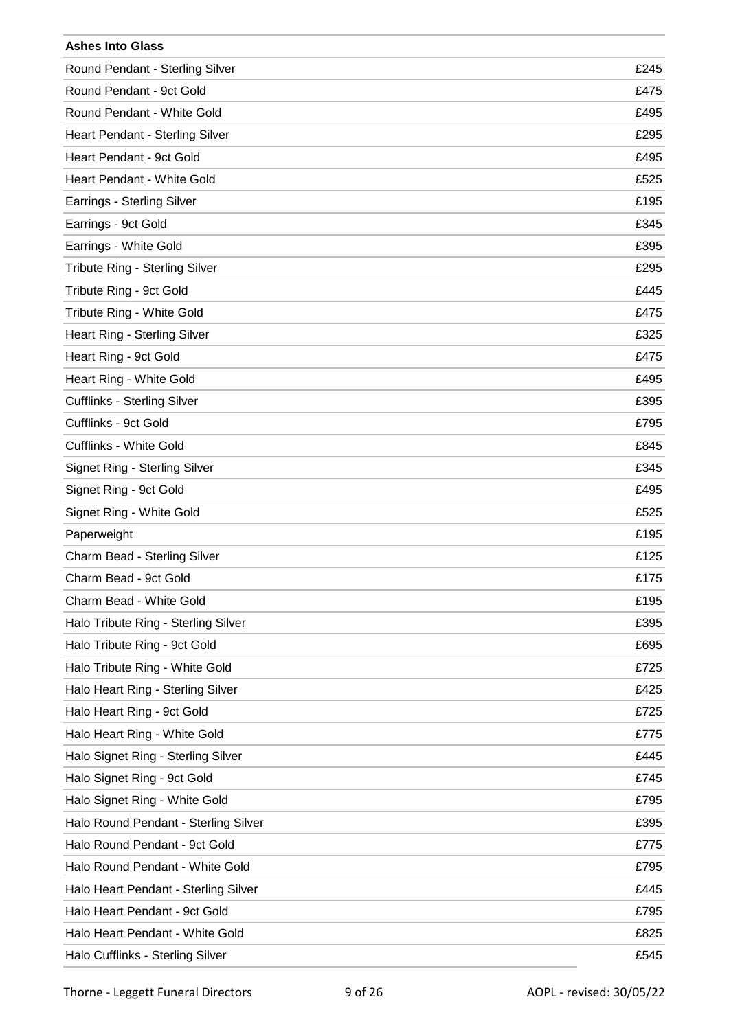| <b>Ashes Into Glass</b>              |      |
|--------------------------------------|------|
| Round Pendant - Sterling Silver      | £245 |
| Round Pendant - 9ct Gold             | £475 |
| Round Pendant - White Gold           | £495 |
| Heart Pendant - Sterling Silver      | £295 |
| Heart Pendant - 9ct Gold             | £495 |
| <b>Heart Pendant - White Gold</b>    | £525 |
| Earrings - Sterling Silver           | £195 |
| Earrings - 9ct Gold                  | £345 |
| Earrings - White Gold                | £395 |
| Tribute Ring - Sterling Silver       | £295 |
| Tribute Ring - 9ct Gold              | £445 |
| Tribute Ring - White Gold            | £475 |
| Heart Ring - Sterling Silver         | £325 |
| Heart Ring - 9ct Gold                | £475 |
| Heart Ring - White Gold              | £495 |
| <b>Cufflinks - Sterling Silver</b>   | £395 |
| Cufflinks - 9ct Gold                 | £795 |
| Cufflinks - White Gold               | £845 |
| Signet Ring - Sterling Silver        | £345 |
| Signet Ring - 9ct Gold               | £495 |
| Signet Ring - White Gold             | £525 |
| Paperweight                          | £195 |
| Charm Bead - Sterling Silver         | £125 |
| Charm Bead - 9ct Gold                | £175 |
| Charm Bead - White Gold              | £195 |
| Halo Tribute Ring - Sterling Silver  | £395 |
| Halo Tribute Ring - 9ct Gold         | £695 |
| Halo Tribute Ring - White Gold       | £725 |
| Halo Heart Ring - Sterling Silver    | £425 |
| Halo Heart Ring - 9ct Gold           | £725 |
| Halo Heart Ring - White Gold         | £775 |
| Halo Signet Ring - Sterling Silver   | £445 |
| Halo Signet Ring - 9ct Gold          | £745 |
| Halo Signet Ring - White Gold        | £795 |
| Halo Round Pendant - Sterling Silver | £395 |
| Halo Round Pendant - 9ct Gold        | £775 |
| Halo Round Pendant - White Gold      | £795 |
| Halo Heart Pendant - Sterling Silver | £445 |
| Halo Heart Pendant - 9ct Gold        | £795 |
| Halo Heart Pendant - White Gold      | £825 |
| Halo Cufflinks - Sterling Silver     | £545 |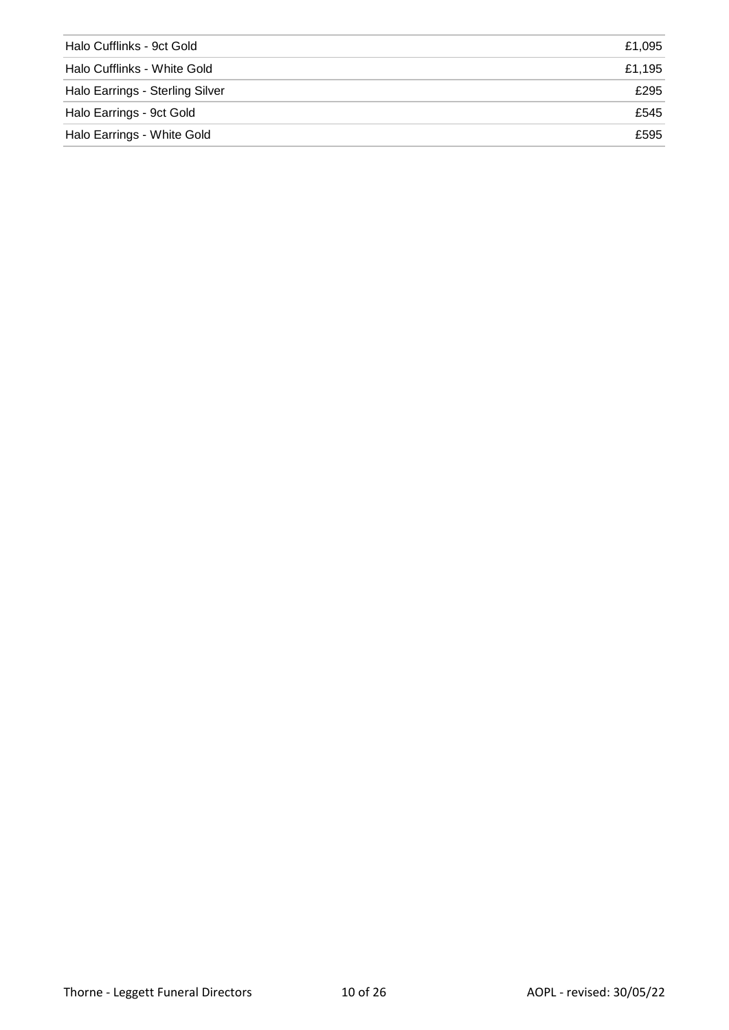| Halo Cufflinks - 9ct Gold       | £1.095 |
|---------------------------------|--------|
| Halo Cufflinks - White Gold     | £1.195 |
| Halo Earrings - Sterling Silver | £295   |
| Halo Earrings - 9ct Gold        | £545   |
| Halo Earrings - White Gold      | £595   |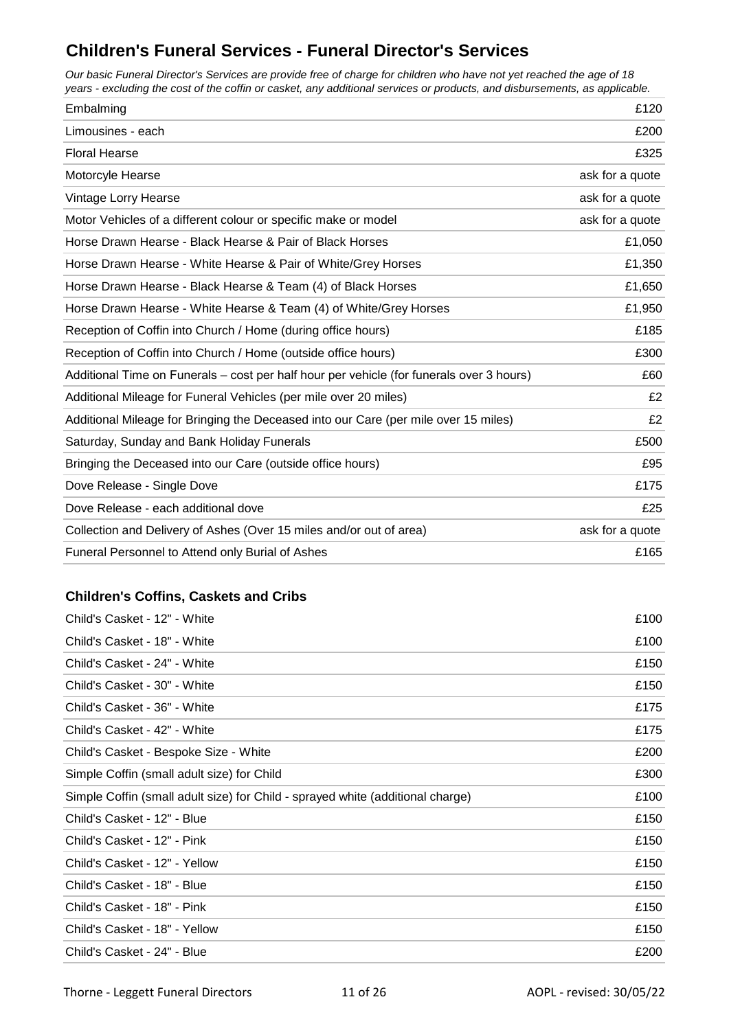## **Children's Funeral Services - Funeral Director's Services**

*Our basic Funeral Director's Services are provide free of charge for children who have not yet reached the age of 18 years - excluding the cost of the coffin or casket, any additional services or products, and disbursements, as applicable.*

| Embalming                                                                                | £120            |
|------------------------------------------------------------------------------------------|-----------------|
| Limousines - each                                                                        | £200            |
| <b>Floral Hearse</b>                                                                     | £325            |
| Motorcyle Hearse                                                                         | ask for a quote |
| Vintage Lorry Hearse                                                                     | ask for a quote |
| Motor Vehicles of a different colour or specific make or model                           | ask for a quote |
| Horse Drawn Hearse - Black Hearse & Pair of Black Horses                                 | £1,050          |
| Horse Drawn Hearse - White Hearse & Pair of White/Grey Horses                            | £1,350          |
| Horse Drawn Hearse - Black Hearse & Team (4) of Black Horses                             | £1,650          |
| Horse Drawn Hearse - White Hearse & Team (4) of White/Grey Horses                        | £1,950          |
| Reception of Coffin into Church / Home (during office hours)                             | £185            |
| Reception of Coffin into Church / Home (outside office hours)                            | £300            |
| Additional Time on Funerals – cost per half hour per vehicle (for funerals over 3 hours) | £60             |
| Additional Mileage for Funeral Vehicles (per mile over 20 miles)                         | £2              |
| Additional Mileage for Bringing the Deceased into our Care (per mile over 15 miles)      | £2              |
| Saturday, Sunday and Bank Holiday Funerals                                               | £500            |
| Bringing the Deceased into our Care (outside office hours)                               | £95             |
| Dove Release - Single Dove                                                               | £175            |
| Dove Release - each additional dove                                                      | £25             |
| Collection and Delivery of Ashes (Over 15 miles and/or out of area)                      | ask for a quote |
| Funeral Personnel to Attend only Burial of Ashes                                         | £165            |

#### **Children's Coffins, Caskets and Cribs**

| Child's Casket - 12" - White                                                   | £100 |
|--------------------------------------------------------------------------------|------|
| Child's Casket - 18" - White                                                   | £100 |
| Child's Casket - 24" - White                                                   | £150 |
| Child's Casket - 30" - White                                                   | £150 |
| Child's Casket - 36" - White                                                   | £175 |
| Child's Casket - 42" - White                                                   | £175 |
| Child's Casket - Bespoke Size - White                                          | £200 |
| Simple Coffin (small adult size) for Child                                     | £300 |
| Simple Coffin (small adult size) for Child - sprayed white (additional charge) | £100 |
| Child's Casket - 12" - Blue                                                    | £150 |
| Child's Casket - 12" - Pink                                                    | £150 |
| Child's Casket - 12" - Yellow                                                  | £150 |
| Child's Casket - 18" - Blue                                                    | £150 |
| Child's Casket - 18" - Pink                                                    | £150 |
| Child's Casket - 18" - Yellow                                                  | £150 |
| Child's Casket - 24" - Blue                                                    | £200 |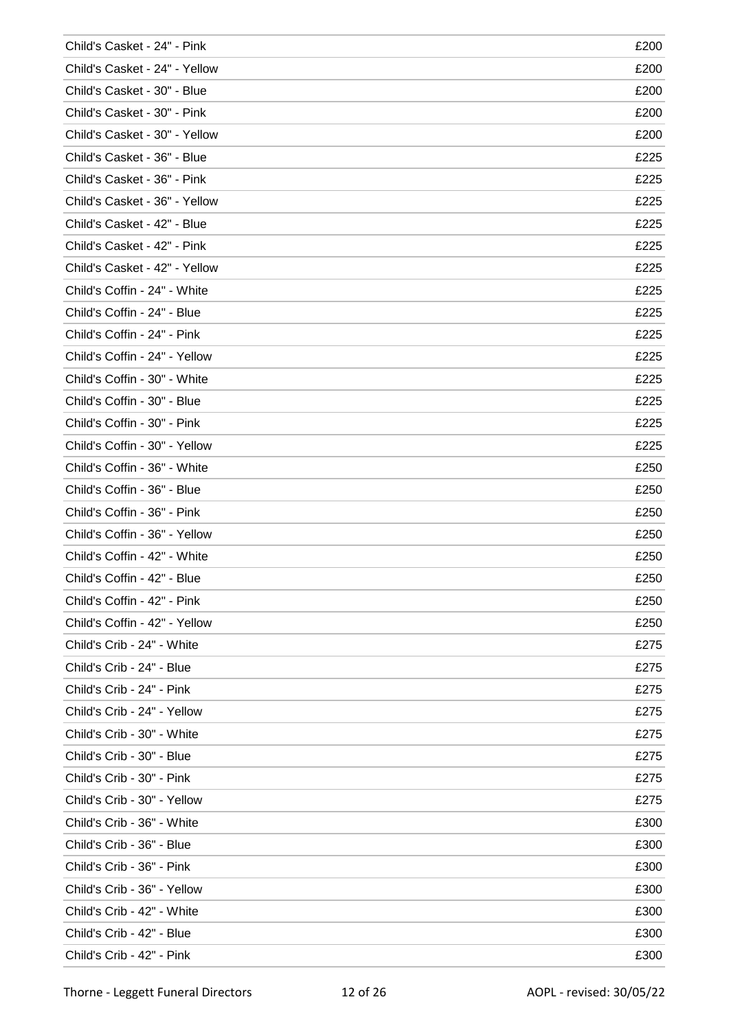| Child's Casket - 24" - Pink   | £200 |
|-------------------------------|------|
| Child's Casket - 24" - Yellow | £200 |
| Child's Casket - 30" - Blue   | £200 |
| Child's Casket - 30" - Pink   | £200 |
| Child's Casket - 30" - Yellow | £200 |
| Child's Casket - 36" - Blue   | £225 |
| Child's Casket - 36" - Pink   | £225 |
| Child's Casket - 36" - Yellow | £225 |
| Child's Casket - 42" - Blue   | £225 |
| Child's Casket - 42" - Pink   | £225 |
| Child's Casket - 42" - Yellow | £225 |
| Child's Coffin - 24" - White  | £225 |
| Child's Coffin - 24" - Blue   | £225 |
| Child's Coffin - 24" - Pink   | £225 |
| Child's Coffin - 24" - Yellow | £225 |
| Child's Coffin - 30" - White  | £225 |
| Child's Coffin - 30" - Blue   | £225 |
| Child's Coffin - 30" - Pink   | £225 |
| Child's Coffin - 30" - Yellow | £225 |
| Child's Coffin - 36" - White  | £250 |
| Child's Coffin - 36" - Blue   | £250 |
| Child's Coffin - 36" - Pink   | £250 |
| Child's Coffin - 36" - Yellow | £250 |
| Child's Coffin - 42" - White  | £250 |
| Child's Coffin - 42" - Blue   | £250 |
| Child's Coffin - 42" - Pink   | £250 |
| Child's Coffin - 42" - Yellow | £250 |
| Child's Crib - 24" - White    | £275 |
| Child's Crib - 24" - Blue     | £275 |
| Child's Crib - 24" - Pink     | £275 |
| Child's Crib - 24" - Yellow   | £275 |
| Child's Crib - 30" - White    | £275 |
| Child's Crib - 30" - Blue     | £275 |
| Child's Crib - 30" - Pink     | £275 |
| Child's Crib - 30" - Yellow   | £275 |
| Child's Crib - 36" - White    | £300 |
| Child's Crib - 36" - Blue     | £300 |
| Child's Crib - 36" - Pink     | £300 |
| Child's Crib - 36" - Yellow   | £300 |
| Child's Crib - 42" - White    | £300 |
| Child's Crib - 42" - Blue     | £300 |
| Child's Crib - 42" - Pink     | £300 |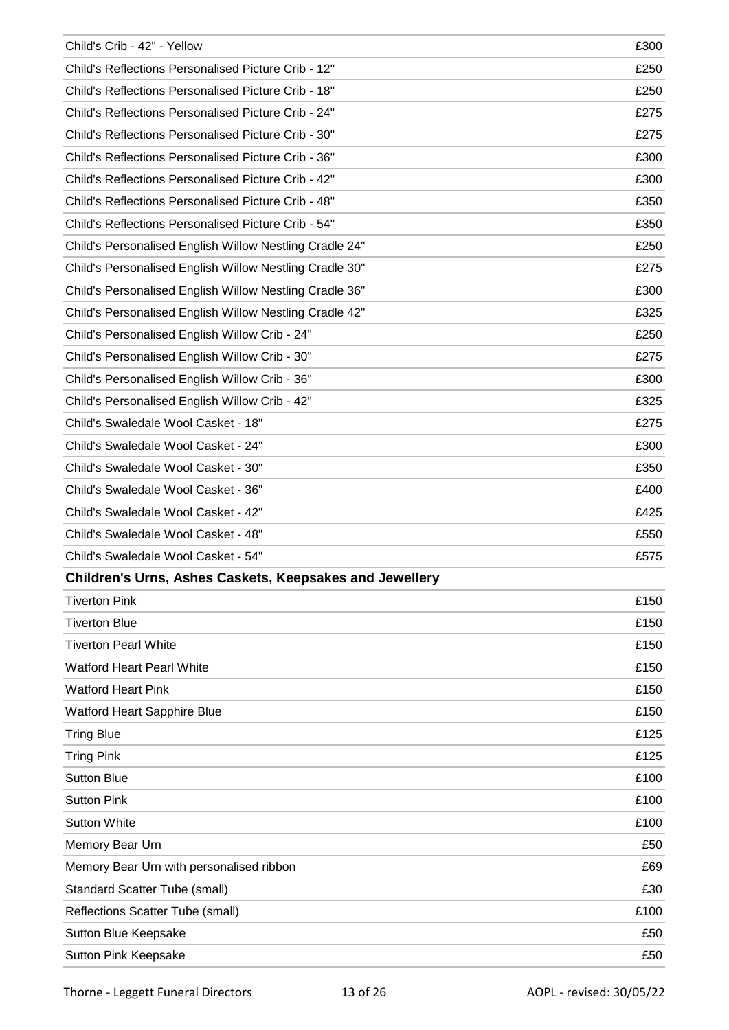| Child's Crib - 42" - Yellow                                    | £300 |
|----------------------------------------------------------------|------|
| Child's Reflections Personalised Picture Crib - 12"            | £250 |
| Child's Reflections Personalised Picture Crib - 18"            | £250 |
| Child's Reflections Personalised Picture Crib - 24"            | £275 |
| Child's Reflections Personalised Picture Crib - 30"            | £275 |
| Child's Reflections Personalised Picture Crib - 36"            | £300 |
| Child's Reflections Personalised Picture Crib - 42"            | £300 |
| Child's Reflections Personalised Picture Crib - 48"            | £350 |
| Child's Reflections Personalised Picture Crib - 54"            | £350 |
| Child's Personalised English Willow Nestling Cradle 24"        | £250 |
| Child's Personalised English Willow Nestling Cradle 30"        | £275 |
| Child's Personalised English Willow Nestling Cradle 36"        | £300 |
| Child's Personalised English Willow Nestling Cradle 42"        | £325 |
| Child's Personalised English Willow Crib - 24"                 | £250 |
| Child's Personalised English Willow Crib - 30"                 | £275 |
| Child's Personalised English Willow Crib - 36"                 | £300 |
| Child's Personalised English Willow Crib - 42"                 | £325 |
| Child's Swaledale Wool Casket - 18"                            | £275 |
| Child's Swaledale Wool Casket - 24"                            | £300 |
| Child's Swaledale Wool Casket - 30"                            | £350 |
| Child's Swaledale Wool Casket - 36"                            | £400 |
| Child's Swaledale Wool Casket - 42"                            | £425 |
| Child's Swaledale Wool Casket - 48"                            | £550 |
| Child's Swaledale Wool Casket - 54"                            | £575 |
| <b>Children's Urns, Ashes Caskets, Keepsakes and Jewellery</b> |      |
| <b>Tiverton Pink</b>                                           | £150 |
| <b>Tiverton Blue</b>                                           | £150 |
| <b>Tiverton Pearl White</b>                                    | £150 |
| <b>Watford Heart Pearl White</b>                               | £150 |
| <b>Watford Heart Pink</b>                                      | £150 |
| <b>Watford Heart Sapphire Blue</b>                             | £150 |
| <b>Tring Blue</b>                                              | £125 |
| <b>Tring Pink</b>                                              | £125 |
| <b>Sutton Blue</b>                                             | £100 |
| <b>Sutton Pink</b>                                             | £100 |
| <b>Sutton White</b>                                            | £100 |
| Memory Bear Urn                                                | £50  |
| Memory Bear Urn with personalised ribbon                       | £69  |
| <b>Standard Scatter Tube (small)</b>                           | £30  |
| Reflections Scatter Tube (small)                               | £100 |
| Sutton Blue Keepsake                                           | £50  |
| Sutton Pink Keepsake                                           | £50  |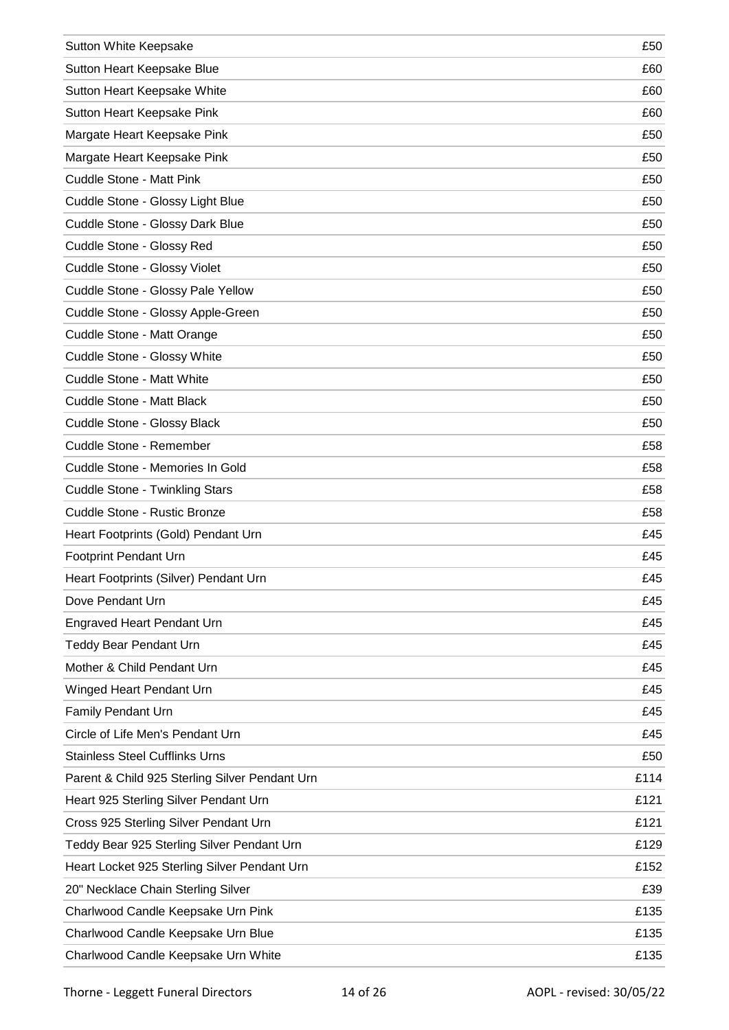| Sutton White Keepsake                          | £50  |
|------------------------------------------------|------|
| Sutton Heart Keepsake Blue                     | £60  |
| Sutton Heart Keepsake White                    | £60  |
| Sutton Heart Keepsake Pink                     | £60  |
| Margate Heart Keepsake Pink                    | £50  |
| Margate Heart Keepsake Pink                    | £50  |
| Cuddle Stone - Matt Pink                       | £50  |
| Cuddle Stone - Glossy Light Blue               | £50  |
| Cuddle Stone - Glossy Dark Blue                | £50  |
| Cuddle Stone - Glossy Red                      | £50  |
| Cuddle Stone - Glossy Violet                   | £50  |
| Cuddle Stone - Glossy Pale Yellow              | £50  |
| Cuddle Stone - Glossy Apple-Green              | £50  |
| Cuddle Stone - Matt Orange                     | £50  |
| Cuddle Stone - Glossy White                    | £50  |
| Cuddle Stone - Matt White                      | £50  |
| Cuddle Stone - Matt Black                      | £50  |
| Cuddle Stone - Glossy Black                    | £50  |
| Cuddle Stone - Remember                        | £58  |
| Cuddle Stone - Memories In Gold                | £58  |
| <b>Cuddle Stone - Twinkling Stars</b>          | £58  |
| Cuddle Stone - Rustic Bronze                   | £58  |
| Heart Footprints (Gold) Pendant Urn            | £45  |
| <b>Footprint Pendant Urn</b>                   | £45  |
| Heart Footprints (Silver) Pendant Urn          | £45  |
| Dove Pendant Urn                               | £45  |
| <b>Engraved Heart Pendant Urn</b>              | £45  |
| <b>Teddy Bear Pendant Urn</b>                  | £45  |
| Mother & Child Pendant Urn                     | £45  |
| Winged Heart Pendant Urn                       | £45  |
| <b>Family Pendant Urn</b>                      | £45  |
| Circle of Life Men's Pendant Urn               | £45  |
| <b>Stainless Steel Cufflinks Urns</b>          | £50  |
| Parent & Child 925 Sterling Silver Pendant Urn | £114 |
| Heart 925 Sterling Silver Pendant Urn          | £121 |
| Cross 925 Sterling Silver Pendant Urn          | £121 |
| Teddy Bear 925 Sterling Silver Pendant Urn     | £129 |
| Heart Locket 925 Sterling Silver Pendant Urn   | £152 |
| 20" Necklace Chain Sterling Silver             | £39  |
| Charlwood Candle Keepsake Urn Pink             | £135 |
| Charlwood Candle Keepsake Urn Blue             | £135 |
| Charlwood Candle Keepsake Urn White            | £135 |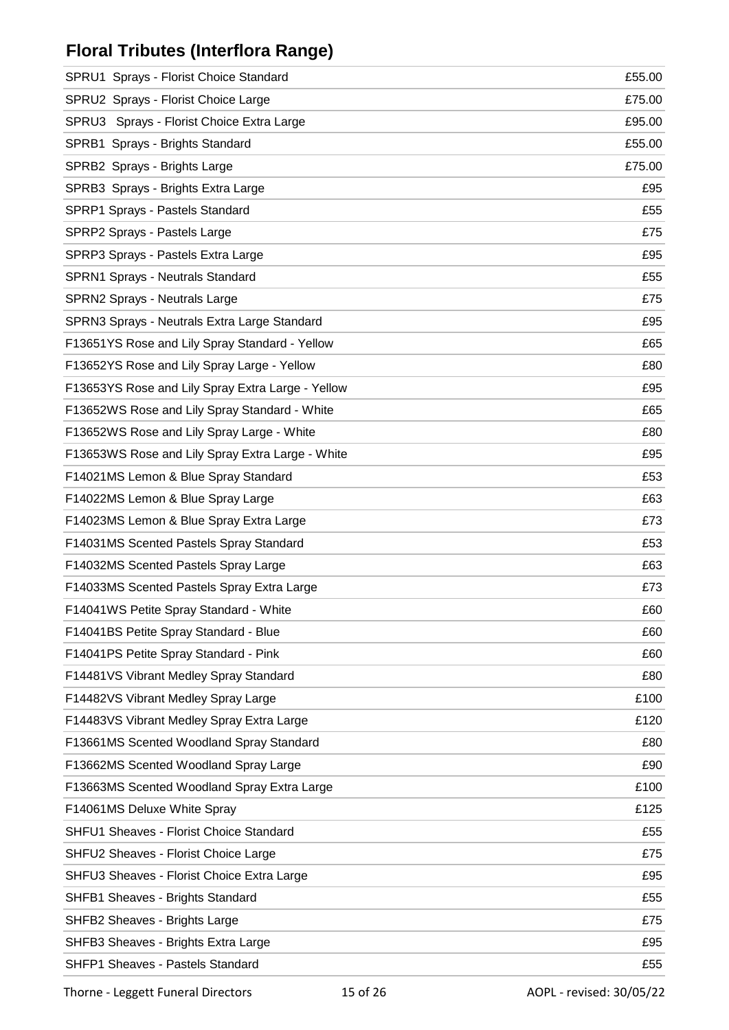## **Floral Tributes (Interflora Range)**

| SPRU1 Sprays - Florist Choice Standard            | £55.00 |
|---------------------------------------------------|--------|
| SPRU2 Sprays - Florist Choice Large               | £75.00 |
| SPRU3 Sprays - Florist Choice Extra Large         | £95.00 |
| SPRB1 Sprays - Brights Standard                   | £55.00 |
| SPRB2 Sprays - Brights Large                      | £75.00 |
| SPRB3 Sprays - Brights Extra Large                | £95    |
| SPRP1 Sprays - Pastels Standard                   | £55    |
| SPRP2 Sprays - Pastels Large                      | £75    |
| SPRP3 Sprays - Pastels Extra Large                | £95    |
| SPRN1 Sprays - Neutrals Standard                  | £55    |
| SPRN2 Sprays - Neutrals Large                     | £75    |
| SPRN3 Sprays - Neutrals Extra Large Standard      | £95    |
| F13651YS Rose and Lily Spray Standard - Yellow    | £65    |
| F13652YS Rose and Lily Spray Large - Yellow       | £80    |
| F13653YS Rose and Lily Spray Extra Large - Yellow | £95    |
| F13652WS Rose and Lily Spray Standard - White     | £65    |
| F13652WS Rose and Lily Spray Large - White        | £80    |
| F13653WS Rose and Lily Spray Extra Large - White  | £95    |
| F14021MS Lemon & Blue Spray Standard              | £53    |
| F14022MS Lemon & Blue Spray Large                 | £63    |
| F14023MS Lemon & Blue Spray Extra Large           | £73    |
| F14031MS Scented Pastels Spray Standard           | £53    |
| F14032MS Scented Pastels Spray Large              | £63    |
| F14033MS Scented Pastels Spray Extra Large        | £73    |
| F14041WS Petite Spray Standard - White            | £60    |
| F14041BS Petite Spray Standard - Blue             | £60    |
| F14041PS Petite Spray Standard - Pink             | £60    |
| F14481VS Vibrant Medley Spray Standard            | £80    |
| F14482VS Vibrant Medley Spray Large               | £100   |
| F14483VS Vibrant Medley Spray Extra Large         | £120   |
| F13661MS Scented Woodland Spray Standard          | £80    |
| F13662MS Scented Woodland Spray Large             | £90    |
| F13663MS Scented Woodland Spray Extra Large       | £100   |
| F14061MS Deluxe White Spray                       | £125   |
| SHFU1 Sheaves - Florist Choice Standard           | £55    |
| SHFU2 Sheaves - Florist Choice Large              | £75    |
| SHFU3 Sheaves - Florist Choice Extra Large        | £95    |
| SHFB1 Sheaves - Brights Standard                  | £55    |
| SHFB2 Sheaves - Brights Large                     | £75    |
| SHFB3 Sheaves - Brights Extra Large               | £95    |
| SHFP1 Sheaves - Pastels Standard                  | £55    |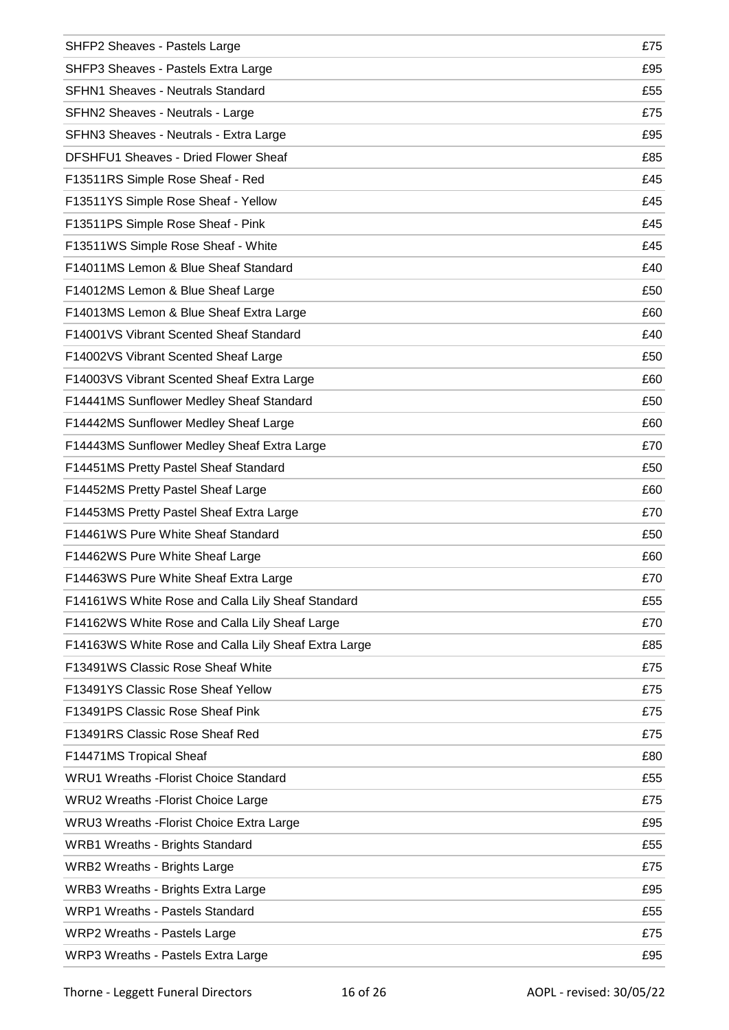| SHFP2 Sheaves - Pastels Large                        | £75 |
|------------------------------------------------------|-----|
| SHFP3 Sheaves - Pastels Extra Large                  | £95 |
| <b>SFHN1 Sheaves - Neutrals Standard</b>             | £55 |
| SFHN2 Sheaves - Neutrals - Large                     | £75 |
| SFHN3 Sheaves - Neutrals - Extra Large               | £95 |
| DFSHFU1 Sheaves - Dried Flower Sheaf                 | £85 |
| F13511RS Simple Rose Sheaf - Red                     | £45 |
| F13511YS Simple Rose Sheaf - Yellow                  | £45 |
| F13511PS Simple Rose Sheaf - Pink                    | £45 |
| F13511WS Simple Rose Sheaf - White                   | £45 |
| F14011MS Lemon & Blue Sheaf Standard                 | £40 |
| F14012MS Lemon & Blue Sheaf Large                    | £50 |
| F14013MS Lemon & Blue Sheaf Extra Large              | £60 |
| F14001VS Vibrant Scented Sheaf Standard              | £40 |
| F14002VS Vibrant Scented Sheaf Large                 | £50 |
| F14003VS Vibrant Scented Sheaf Extra Large           | £60 |
| F14441MS Sunflower Medley Sheaf Standard             | £50 |
| F14442MS Sunflower Medley Sheaf Large                | £60 |
| F14443MS Sunflower Medley Sheaf Extra Large          | £70 |
| F14451MS Pretty Pastel Sheaf Standard                | £50 |
| F14452MS Pretty Pastel Sheaf Large                   | £60 |
| F14453MS Pretty Pastel Sheaf Extra Large             | £70 |
| F14461WS Pure White Sheaf Standard                   | £50 |
| F14462WS Pure White Sheaf Large                      | £60 |
| F14463WS Pure White Sheaf Extra Large                | £70 |
| F14161WS White Rose and Calla Lily Sheaf Standard    | £55 |
| F14162WS White Rose and Calla Lily Sheaf Large       | £70 |
| F14163WS White Rose and Calla Lily Sheaf Extra Large | £85 |
| F13491WS Classic Rose Sheaf White                    | £75 |
| F13491YS Classic Rose Sheaf Yellow                   | £75 |
| F13491PS Classic Rose Sheaf Pink                     | £75 |
| F13491RS Classic Rose Sheaf Red                      | £75 |
| F14471MS Tropical Sheaf                              | £80 |
| <b>WRU1 Wreaths - Florist Choice Standard</b>        | £55 |
| <b>WRU2 Wreaths - Florist Choice Large</b>           | £75 |
| WRU3 Wreaths - Florist Choice Extra Large            | £95 |
| <b>WRB1 Wreaths - Brights Standard</b>               | £55 |
| <b>WRB2 Wreaths - Brights Large</b>                  | £75 |
| <b>WRB3 Wreaths - Brights Extra Large</b>            | £95 |
| <b>WRP1 Wreaths - Pastels Standard</b>               | £55 |
| WRP2 Wreaths - Pastels Large                         | £75 |
| WRP3 Wreaths - Pastels Extra Large                   | £95 |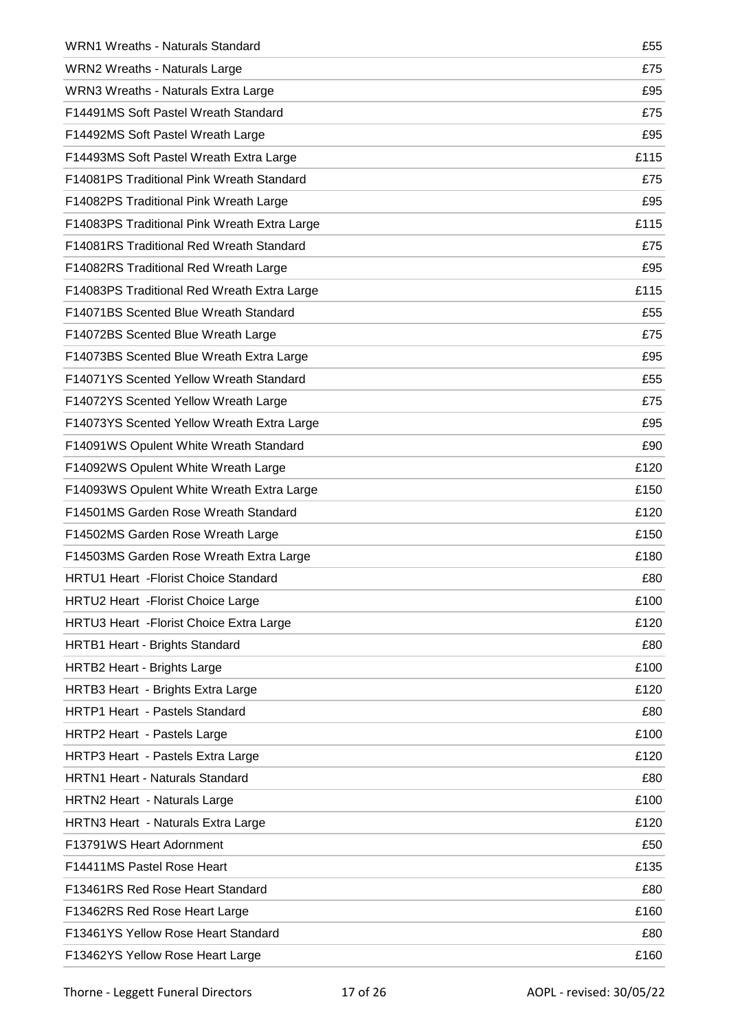| <b>WRN1 Wreaths - Naturals Standard</b>      | £55  |
|----------------------------------------------|------|
| <b>WRN2 Wreaths - Naturals Large</b>         | £75  |
| WRN3 Wreaths - Naturals Extra Large          | £95  |
| F14491MS Soft Pastel Wreath Standard         | £75  |
| F14492MS Soft Pastel Wreath Large            | £95  |
| F14493MS Soft Pastel Wreath Extra Large      | £115 |
| F14081PS Traditional Pink Wreath Standard    | £75  |
| F14082PS Traditional Pink Wreath Large       | £95  |
| F14083PS Traditional Pink Wreath Extra Large | £115 |
| F14081RS Traditional Red Wreath Standard     | £75  |
| F14082RS Traditional Red Wreath Large        | £95  |
| F14083PS Traditional Red Wreath Extra Large  | £115 |
| F14071BS Scented Blue Wreath Standard        | £55  |
| F14072BS Scented Blue Wreath Large           | £75  |
| F14073BS Scented Blue Wreath Extra Large     | £95  |
| F14071YS Scented Yellow Wreath Standard      | £55  |
| F14072YS Scented Yellow Wreath Large         | £75  |
| F14073YS Scented Yellow Wreath Extra Large   | £95  |
| F14091WS Opulent White Wreath Standard       | £90  |
| F14092WS Opulent White Wreath Large          | £120 |
| F14093WS Opulent White Wreath Extra Large    | £150 |
| F14501MS Garden Rose Wreath Standard         | £120 |
| F14502MS Garden Rose Wreath Large            | £150 |
| F14503MS Garden Rose Wreath Extra Large      | £180 |
| <b>HRTU1 Heart - Florist Choice Standard</b> | £80  |
| HRTU2 Heart - Florist Choice Large           | £100 |
| HRTU3 Heart - Florist Choice Extra Large     | £120 |
| HRTB1 Heart - Brights Standard               | £80  |
| <b>HRTB2 Heart - Brights Large</b>           | £100 |
| HRTB3 Heart - Brights Extra Large            | £120 |
| HRTP1 Heart - Pastels Standard               | £80  |
| HRTP2 Heart - Pastels Large                  | £100 |
| HRTP3 Heart - Pastels Extra Large            | £120 |
| <b>HRTN1 Heart - Naturals Standard</b>       | £80  |
| HRTN2 Heart - Naturals Large                 | £100 |
| HRTN3 Heart - Naturals Extra Large           | £120 |
| F13791WS Heart Adornment                     | £50  |
| F14411MS Pastel Rose Heart                   | £135 |
| F13461RS Red Rose Heart Standard             | £80  |
| F13462RS Red Rose Heart Large                | £160 |
| F13461YS Yellow Rose Heart Standard          | £80  |
| F13462YS Yellow Rose Heart Large             | £160 |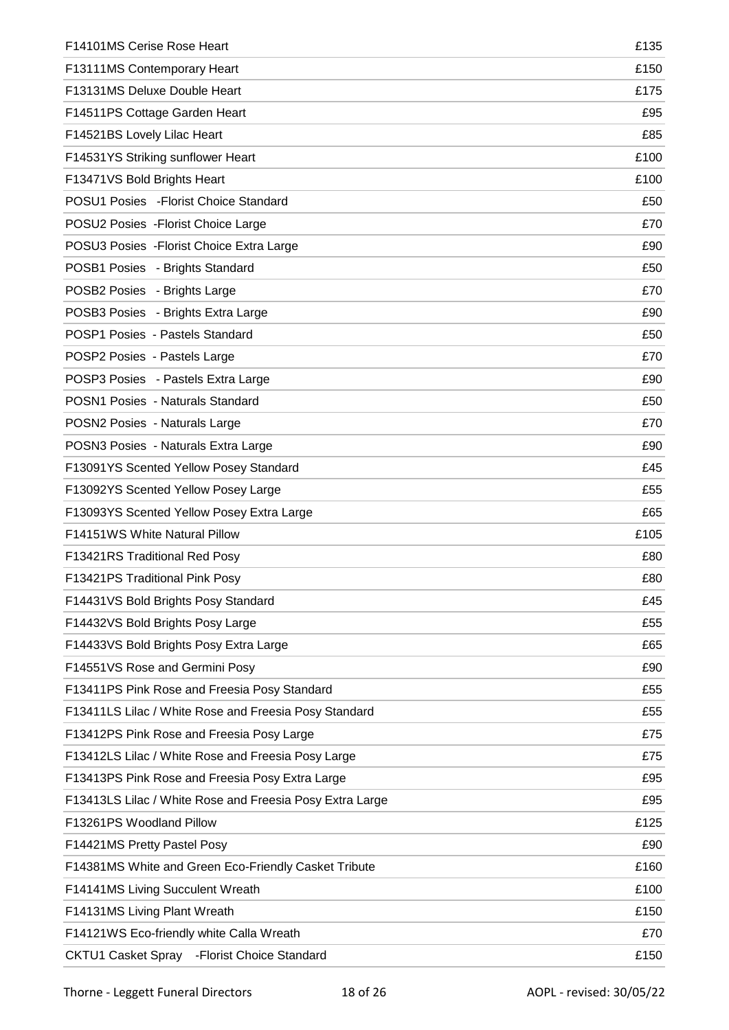| F14101MS Cerise Rose Heart                               | £135 |
|----------------------------------------------------------|------|
| F13111MS Contemporary Heart                              | £150 |
| F13131MS Deluxe Double Heart                             | £175 |
| F14511PS Cottage Garden Heart                            | £95  |
| F14521BS Lovely Lilac Heart                              | £85  |
| F14531YS Striking sunflower Heart                        | £100 |
| F13471VS Bold Brights Heart                              | £100 |
| POSU1 Posies - Florist Choice Standard                   | £50  |
| POSU2 Posies - Florist Choice Large                      | £70  |
| POSU3 Posies - Florist Choice Extra Large                | £90  |
| POSB1 Posies - Brights Standard                          | £50  |
| POSB2 Posies - Brights Large                             | £70  |
| POSB3 Posies - Brights Extra Large                       | £90  |
| POSP1 Posies - Pastels Standard                          | £50  |
| POSP2 Posies - Pastels Large                             | £70  |
| POSP3 Posies - Pastels Extra Large                       | £90  |
| POSN1 Posies - Naturals Standard                         | £50  |
| POSN2 Posies - Naturals Large                            | £70  |
| POSN3 Posies - Naturals Extra Large                      | £90  |
| F13091YS Scented Yellow Posey Standard                   | £45  |
| F13092YS Scented Yellow Posey Large                      | £55  |
| F13093YS Scented Yellow Posey Extra Large                | £65  |
| F14151WS White Natural Pillow                            | £105 |
| F13421RS Traditional Red Posy                            | £80  |
| F13421PS Traditional Pink Posy                           | £80  |
| F14431VS Bold Brights Posy Standard                      | £45  |
| F14432VS Bold Brights Posy Large                         | £55  |
| F14433VS Bold Brights Posy Extra Large                   | £65  |
| F14551VS Rose and Germini Posy                           | £90  |
| F13411PS Pink Rose and Freesia Posy Standard             | £55  |
| F13411LS Lilac / White Rose and Freesia Posy Standard    | £55  |
| F13412PS Pink Rose and Freesia Posy Large                | £75  |
| F13412LS Lilac / White Rose and Freesia Posy Large       | £75  |
| F13413PS Pink Rose and Freesia Posy Extra Large          | £95  |
| F13413LS Lilac / White Rose and Freesia Posy Extra Large | £95  |
| F13261PS Woodland Pillow                                 | £125 |
| F14421MS Pretty Pastel Posy                              | £90  |
| F14381MS White and Green Eco-Friendly Casket Tribute     | £160 |
| F14141MS Living Succulent Wreath                         | £100 |
| F14131MS Living Plant Wreath                             | £150 |
| F14121WS Eco-friendly white Calla Wreath                 | £70  |
| CKTU1 Casket Spray - Florist Choice Standard             | £150 |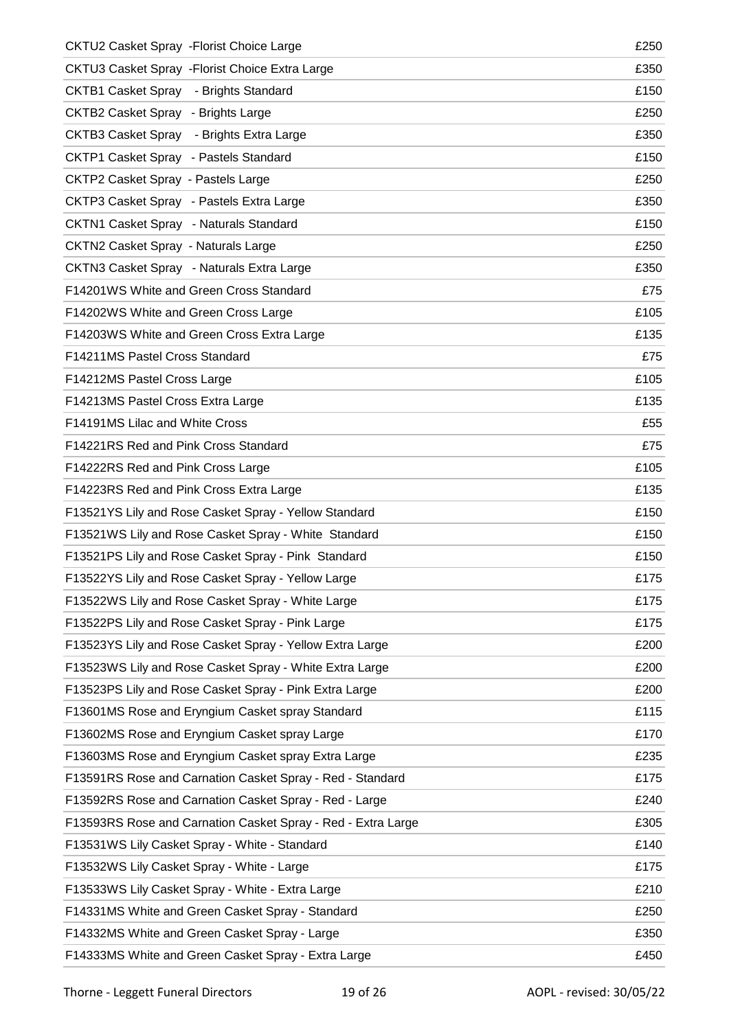| CKTU2 Casket Spray - Florist Choice Large                    | £250 |
|--------------------------------------------------------------|------|
| CKTU3 Casket Spray - Florist Choice Extra Large              | £350 |
| <b>CKTB1 Casket Spray</b> - Brights Standard                 | £150 |
| CKTB2 Casket Spray - Brights Large                           | £250 |
| CKTB3 Casket Spray - Brights Extra Large                     | £350 |
| CKTP1 Casket Spray - Pastels Standard                        | £150 |
| <b>CKTP2 Casket Spray - Pastels Large</b>                    | £250 |
| CKTP3 Casket Spray - Pastels Extra Large                     | £350 |
| CKTN1 Casket Spray - Naturals Standard                       | £150 |
| <b>CKTN2 Casket Spray - Naturals Large</b>                   | £250 |
| CKTN3 Casket Spray - Naturals Extra Large                    | £350 |
| F14201WS White and Green Cross Standard                      | £75  |
| F14202WS White and Green Cross Large                         | £105 |
| F14203WS White and Green Cross Extra Large                   | £135 |
| F14211MS Pastel Cross Standard                               | £75  |
| F14212MS Pastel Cross Large                                  | £105 |
| F14213MS Pastel Cross Extra Large                            | £135 |
| F14191MS Lilac and White Cross                               | £55  |
| F14221RS Red and Pink Cross Standard                         | £75  |
| F14222RS Red and Pink Cross Large                            | £105 |
| F14223RS Red and Pink Cross Extra Large                      | £135 |
| F13521YS Lily and Rose Casket Spray - Yellow Standard        | £150 |
| F13521WS Lily and Rose Casket Spray - White Standard         | £150 |
| F13521PS Lily and Rose Casket Spray - Pink Standard          | £150 |
| F13522YS Lily and Rose Casket Spray - Yellow Large           | £175 |
| F13522WS Lily and Rose Casket Spray - White Large            | £175 |
| F13522PS Lily and Rose Casket Spray - Pink Large             | £175 |
| F13523YS Lily and Rose Casket Spray - Yellow Extra Large     | £200 |
| F13523WS Lily and Rose Casket Spray - White Extra Large      | £200 |
| F13523PS Lily and Rose Casket Spray - Pink Extra Large       | £200 |
| F13601MS Rose and Eryngium Casket spray Standard             | £115 |
| F13602MS Rose and Eryngium Casket spray Large                | £170 |
| F13603MS Rose and Eryngium Casket spray Extra Large          | £235 |
| F13591RS Rose and Carnation Casket Spray - Red - Standard    | £175 |
| F13592RS Rose and Carnation Casket Spray - Red - Large       | £240 |
| F13593RS Rose and Carnation Casket Spray - Red - Extra Large | £305 |
| F13531WS Lily Casket Spray - White - Standard                | £140 |
| F13532WS Lily Casket Spray - White - Large                   | £175 |
| F13533WS Lily Casket Spray - White - Extra Large             | £210 |
| F14331MS White and Green Casket Spray - Standard             | £250 |
| F14332MS White and Green Casket Spray - Large                | £350 |
| F14333MS White and Green Casket Spray - Extra Large          | £450 |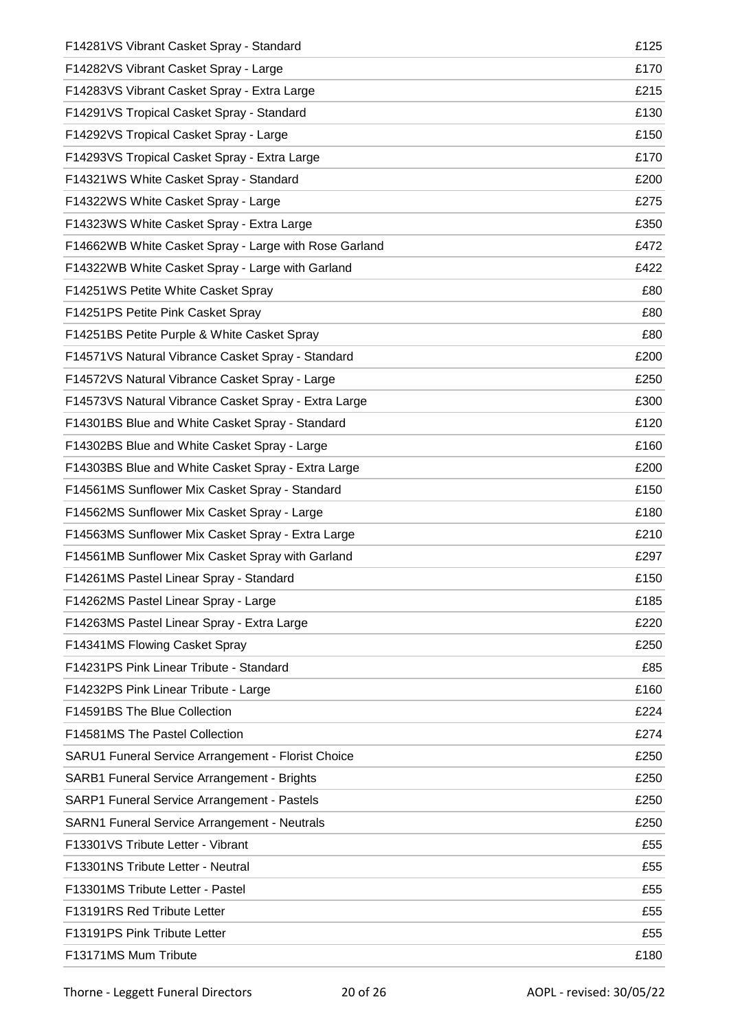| F14281VS Vibrant Casket Spray - Standard              | £125 |
|-------------------------------------------------------|------|
| F14282VS Vibrant Casket Spray - Large                 | £170 |
| F14283VS Vibrant Casket Spray - Extra Large           | £215 |
| F14291VS Tropical Casket Spray - Standard             | £130 |
| F14292VS Tropical Casket Spray - Large                | £150 |
| F14293VS Tropical Casket Spray - Extra Large          | £170 |
| F14321WS White Casket Spray - Standard                | £200 |
| F14322WS White Casket Spray - Large                   | £275 |
| F14323WS White Casket Spray - Extra Large             | £350 |
| F14662WB White Casket Spray - Large with Rose Garland | £472 |
| F14322WB White Casket Spray - Large with Garland      | £422 |
| F14251WS Petite White Casket Spray                    | £80  |
| F14251PS Petite Pink Casket Spray                     | £80  |
| F14251BS Petite Purple & White Casket Spray           | £80  |
| F14571VS Natural Vibrance Casket Spray - Standard     | £200 |
| F14572VS Natural Vibrance Casket Spray - Large        | £250 |
| F14573VS Natural Vibrance Casket Spray - Extra Large  | £300 |
| F14301BS Blue and White Casket Spray - Standard       | £120 |
| F14302BS Blue and White Casket Spray - Large          | £160 |
| F14303BS Blue and White Casket Spray - Extra Large    | £200 |
| F14561MS Sunflower Mix Casket Spray - Standard        | £150 |
| F14562MS Sunflower Mix Casket Spray - Large           | £180 |
| F14563MS Sunflower Mix Casket Spray - Extra Large     | £210 |
| F14561MB Sunflower Mix Casket Spray with Garland      | £297 |
| F14261MS Pastel Linear Spray - Standard               | £150 |
| F14262MS Pastel Linear Spray - Large                  | £185 |
| F14263MS Pastel Linear Spray - Extra Large            | £220 |
| F14341MS Flowing Casket Spray                         | £250 |
| F14231PS Pink Linear Tribute - Standard               | £85  |
| F14232PS Pink Linear Tribute - Large                  | £160 |
| F14591BS The Blue Collection                          | £224 |
| F14581MS The Pastel Collection                        | £274 |
| SARU1 Funeral Service Arrangement - Florist Choice    | £250 |
| SARB1 Funeral Service Arrangement - Brights           | £250 |
| SARP1 Funeral Service Arrangement - Pastels           | £250 |
| SARN1 Funeral Service Arrangement - Neutrals          | £250 |
| F13301VS Tribute Letter - Vibrant                     | £55  |
| F13301NS Tribute Letter - Neutral                     | £55  |
| F13301MS Tribute Letter - Pastel                      | £55  |
| F13191RS Red Tribute Letter                           | £55  |
| F13191PS Pink Tribute Letter                          | £55  |
| F13171MS Mum Tribute                                  | £180 |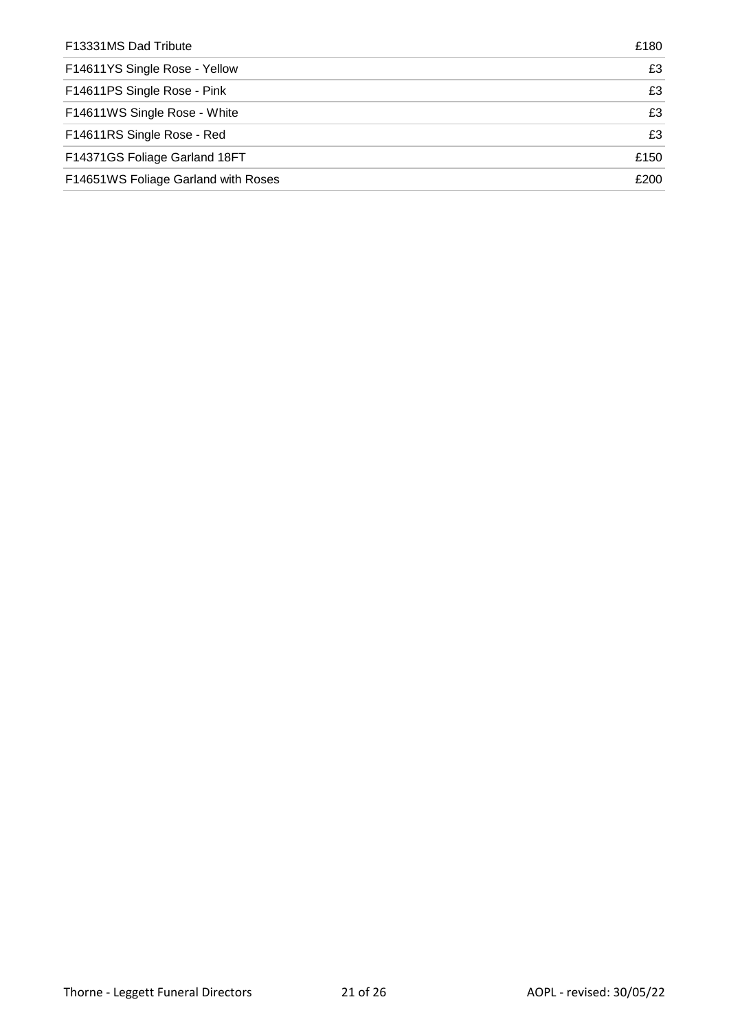| F13331MS Dad Tribute                | £180 |
|-------------------------------------|------|
| F14611YS Single Rose - Yellow       | £3   |
| F14611PS Single Rose - Pink         | £3   |
| F14611WS Single Rose - White        | £3   |
| F14611RS Single Rose - Red          | £3   |
| F14371GS Foliage Garland 18FT       | £150 |
| F14651WS Foliage Garland with Roses | £200 |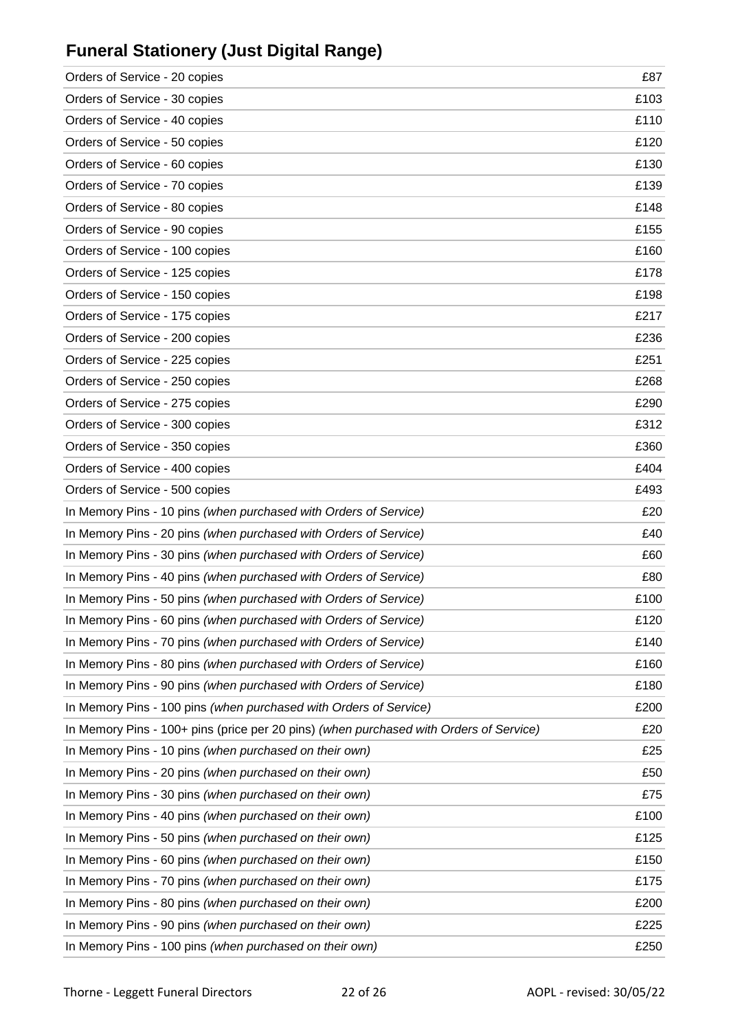# **Funeral Stationery (Just Digital Range)**

| Orders of Service - 20 copies                                                          | £87  |
|----------------------------------------------------------------------------------------|------|
| Orders of Service - 30 copies                                                          | £103 |
| Orders of Service - 40 copies                                                          | £110 |
| Orders of Service - 50 copies                                                          | £120 |
| Orders of Service - 60 copies                                                          | £130 |
| Orders of Service - 70 copies                                                          | £139 |
| Orders of Service - 80 copies                                                          | £148 |
| Orders of Service - 90 copies                                                          | £155 |
| Orders of Service - 100 copies                                                         | £160 |
| Orders of Service - 125 copies                                                         | £178 |
| Orders of Service - 150 copies                                                         | £198 |
| Orders of Service - 175 copies                                                         | £217 |
| Orders of Service - 200 copies                                                         | £236 |
| Orders of Service - 225 copies                                                         | £251 |
| Orders of Service - 250 copies                                                         | £268 |
| Orders of Service - 275 copies                                                         | £290 |
| Orders of Service - 300 copies                                                         | £312 |
| Orders of Service - 350 copies                                                         | £360 |
| Orders of Service - 400 copies                                                         | £404 |
| Orders of Service - 500 copies                                                         | £493 |
| In Memory Pins - 10 pins (when purchased with Orders of Service)                       | £20  |
| In Memory Pins - 20 pins (when purchased with Orders of Service)                       | £40  |
| In Memory Pins - 30 pins (when purchased with Orders of Service)                       | £60  |
| In Memory Pins - 40 pins (when purchased with Orders of Service)                       | £80  |
| In Memory Pins - 50 pins (when purchased with Orders of Service)                       | £100 |
| In Memory Pins - 60 pins (when purchased with Orders of Service)                       | £120 |
| In Memory Pins - 70 pins (when purchased with Orders of Service)                       | £140 |
| In Memory Pins - 80 pins (when purchased with Orders of Service)                       | £160 |
| In Memory Pins - 90 pins (when purchased with Orders of Service)                       | £180 |
| In Memory Pins - 100 pins (when purchased with Orders of Service)                      | £200 |
| In Memory Pins - 100+ pins (price per 20 pins) (when purchased with Orders of Service) | £20  |
| In Memory Pins - 10 pins (when purchased on their own)                                 | £25  |
| In Memory Pins - 20 pins (when purchased on their own)                                 | £50  |
| In Memory Pins - 30 pins (when purchased on their own)                                 | £75  |
| In Memory Pins - 40 pins (when purchased on their own)                                 | £100 |
| In Memory Pins - 50 pins (when purchased on their own)                                 | £125 |
| In Memory Pins - 60 pins (when purchased on their own)                                 | £150 |
| In Memory Pins - 70 pins (when purchased on their own)                                 | £175 |
| In Memory Pins - 80 pins (when purchased on their own)                                 | £200 |
| In Memory Pins - 90 pins (when purchased on their own)                                 | £225 |
| In Memory Pins - 100 pins (when purchased on their own)                                | £250 |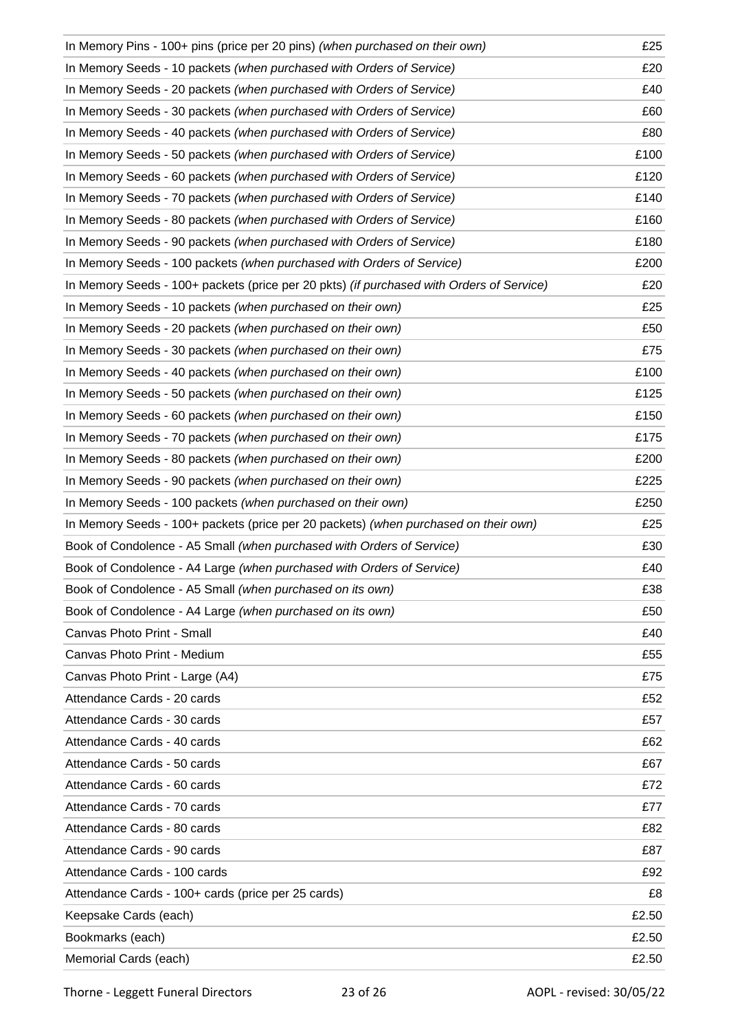| In Memory Pins - 100+ pins (price per 20 pins) (when purchased on their own)             | £25   |
|------------------------------------------------------------------------------------------|-------|
| In Memory Seeds - 10 packets (when purchased with Orders of Service)                     | £20   |
| In Memory Seeds - 20 packets (when purchased with Orders of Service)                     | £40   |
| In Memory Seeds - 30 packets (when purchased with Orders of Service)                     | £60   |
| In Memory Seeds - 40 packets (when purchased with Orders of Service)                     | £80   |
| In Memory Seeds - 50 packets (when purchased with Orders of Service)                     | £100  |
| In Memory Seeds - 60 packets (when purchased with Orders of Service)                     | £120  |
| In Memory Seeds - 70 packets (when purchased with Orders of Service)                     | £140  |
| In Memory Seeds - 80 packets (when purchased with Orders of Service)                     | £160  |
| In Memory Seeds - 90 packets (when purchased with Orders of Service)                     | £180  |
| In Memory Seeds - 100 packets (when purchased with Orders of Service)                    | £200  |
| In Memory Seeds - 100+ packets (price per 20 pkts) (if purchased with Orders of Service) | £20   |
| In Memory Seeds - 10 packets (when purchased on their own)                               | £25   |
| In Memory Seeds - 20 packets (when purchased on their own)                               | £50   |
| In Memory Seeds - 30 packets (when purchased on their own)                               | £75   |
| In Memory Seeds - 40 packets (when purchased on their own)                               | £100  |
| In Memory Seeds - 50 packets (when purchased on their own)                               | £125  |
| In Memory Seeds - 60 packets (when purchased on their own)                               | £150  |
| In Memory Seeds - 70 packets (when purchased on their own)                               | £175  |
| In Memory Seeds - 80 packets (when purchased on their own)                               | £200  |
| In Memory Seeds - 90 packets (when purchased on their own)                               | £225  |
| In Memory Seeds - 100 packets (when purchased on their own)                              | £250  |
| In Memory Seeds - 100+ packets (price per 20 packets) (when purchased on their own)      | £25   |
| Book of Condolence - A5 Small (when purchased with Orders of Service)                    | £30   |
| Book of Condolence - A4 Large (when purchased with Orders of Service)                    | £40   |
| Book of Condolence - A5 Small (when purchased on its own)                                | £38   |
| Book of Condolence - A4 Large (when purchased on its own)                                | £50   |
| Canvas Photo Print - Small                                                               | £40   |
| Canvas Photo Print - Medium                                                              | £55   |
| Canvas Photo Print - Large (A4)                                                          | £75   |
| Attendance Cards - 20 cards                                                              | £52   |
| Attendance Cards - 30 cards                                                              | £57   |
| Attendance Cards - 40 cards                                                              | £62   |
| Attendance Cards - 50 cards                                                              | £67   |
| Attendance Cards - 60 cards                                                              | £72   |
| Attendance Cards - 70 cards                                                              | £77   |
| Attendance Cards - 80 cards                                                              | £82   |
| Attendance Cards - 90 cards                                                              | £87   |
| Attendance Cards - 100 cards                                                             | £92   |
| Attendance Cards - 100+ cards (price per 25 cards)                                       | £8    |
| Keepsake Cards (each)                                                                    | £2.50 |
| Bookmarks (each)                                                                         | £2.50 |
| Memorial Cards (each)                                                                    | £2.50 |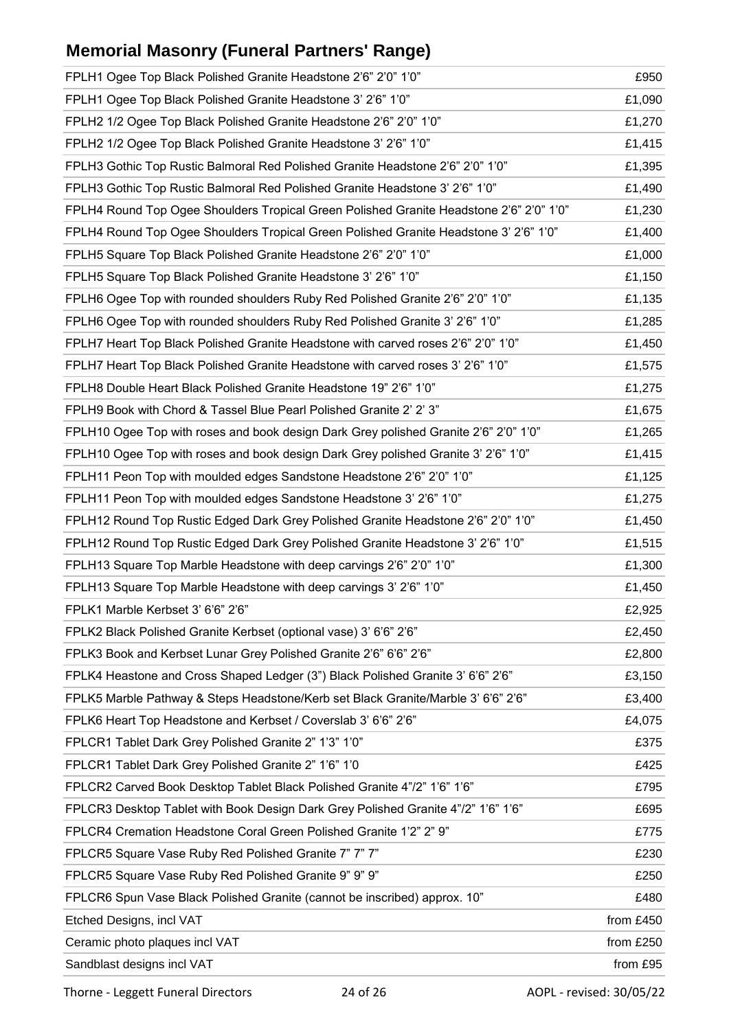# **Memorial Masonry (Funeral Partners' Range)**

| FPLH1 Ogee Top Black Polished Granite Headstone 2'6" 2'0" 1'0"                          | £950      |
|-----------------------------------------------------------------------------------------|-----------|
| FPLH1 Ogee Top Black Polished Granite Headstone 3' 2'6" 1'0"                            | £1,090    |
| FPLH2 1/2 Ogee Top Black Polished Granite Headstone 2'6" 2'0" 1'0"                      | £1,270    |
| FPLH2 1/2 Ogee Top Black Polished Granite Headstone 3' 2'6" 1'0"                        | £1,415    |
| FPLH3 Gothic Top Rustic Balmoral Red Polished Granite Headstone 2'6" 2'0" 1'0"          | £1,395    |
| FPLH3 Gothic Top Rustic Balmoral Red Polished Granite Headstone 3' 2'6" 1'0"            | £1,490    |
| FPLH4 Round Top Ogee Shoulders Tropical Green Polished Granite Headstone 2'6" 2'0" 1'0" | £1,230    |
| FPLH4 Round Top Ogee Shoulders Tropical Green Polished Granite Headstone 3' 2'6" 1'0"   | £1,400    |
| FPLH5 Square Top Black Polished Granite Headstone 2'6" 2'0" 1'0"                        | £1,000    |
| FPLH5 Square Top Black Polished Granite Headstone 3' 2'6" 1'0"                          | £1,150    |
| FPLH6 Ogee Top with rounded shoulders Ruby Red Polished Granite 2'6" 2'0" 1'0"          | £1,135    |
| FPLH6 Ogee Top with rounded shoulders Ruby Red Polished Granite 3' 2'6" 1'0"            | £1,285    |
| FPLH7 Heart Top Black Polished Granite Headstone with carved roses 2'6" 2'0" 1'0"       | £1,450    |
| FPLH7 Heart Top Black Polished Granite Headstone with carved roses 3' 2'6" 1'0"         | £1,575    |
| FPLH8 Double Heart Black Polished Granite Headstone 19" 2'6" 1'0"                       | £1,275    |
| FPLH9 Book with Chord & Tassel Blue Pearl Polished Granite 2' 2' 3"                     | £1,675    |
| FPLH10 Ogee Top with roses and book design Dark Grey polished Granite 2'6" 2'0" 1'0"    | £1,265    |
| FPLH10 Ogee Top with roses and book design Dark Grey polished Granite 3' 2'6" 1'0"      | £1,415    |
| FPLH11 Peon Top with moulded edges Sandstone Headstone 2'6" 2'0" 1'0"                   | £1,125    |
| FPLH11 Peon Top with moulded edges Sandstone Headstone 3' 2'6" 1'0"                     | £1,275    |
| FPLH12 Round Top Rustic Edged Dark Grey Polished Granite Headstone 2'6" 2'0" 1'0"       | £1,450    |
| FPLH12 Round Top Rustic Edged Dark Grey Polished Granite Headstone 3' 2'6" 1'0"         | £1,515    |
| FPLH13 Square Top Marble Headstone with deep carvings 2'6" 2'0" 1'0"                    | £1,300    |
| FPLH13 Square Top Marble Headstone with deep carvings 3' 2'6" 1'0"                      | £1,450    |
| FPLK1 Marble Kerbset 3' 6'6" 2'6"                                                       | £2,925    |
| FPLK2 Black Polished Granite Kerbset (optional vase) 3' 6'6" 2'6"                       | £2,450    |
| FPLK3 Book and Kerbset Lunar Grey Polished Granite 2'6" 6'6" 2'6"                       | £2,800    |
| FPLK4 Heastone and Cross Shaped Ledger (3") Black Polished Granite 3' 6'6" 2'6"         | £3,150    |
| FPLK5 Marble Pathway & Steps Headstone/Kerb set Black Granite/Marble 3' 6'6" 2'6"       | £3,400    |
| FPLK6 Heart Top Headstone and Kerbset / Coverslab 3' 6'6" 2'6"                          | £4,075    |
| FPLCR1 Tablet Dark Grey Polished Granite 2" 1'3" 1'0"                                   | £375      |
| FPLCR1 Tablet Dark Grey Polished Granite 2" 1'6" 1'0                                    | £425      |
| FPLCR2 Carved Book Desktop Tablet Black Polished Granite 4"/2" 1'6" 1'6"                | £795      |
| FPLCR3 Desktop Tablet with Book Design Dark Grey Polished Granite 4"/2" 1'6" 1'6"       | £695      |
| FPLCR4 Cremation Headstone Coral Green Polished Granite 1'2" 2" 9"                      | £775      |
| FPLCR5 Square Vase Ruby Red Polished Granite 7" 7" 7"                                   | £230      |
| FPLCR5 Square Vase Ruby Red Polished Granite 9" 9" 9"                                   | £250      |
| FPLCR6 Spun Vase Black Polished Granite (cannot be inscribed) approx. 10"               | £480      |
| Etched Designs, incl VAT                                                                | from £450 |
| Ceramic photo plaques incl VAT                                                          | from £250 |
| Sandblast designs incl VAT                                                              | from £95  |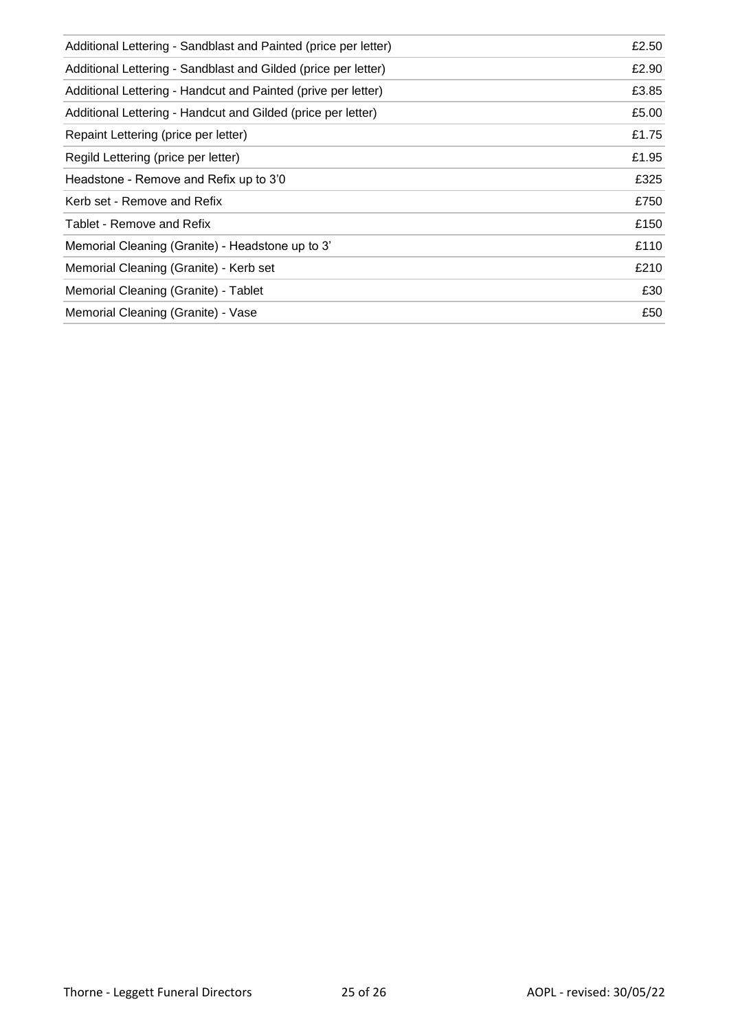| Additional Lettering - Sandblast and Painted (price per letter) | £2.50 |
|-----------------------------------------------------------------|-------|
| Additional Lettering - Sandblast and Gilded (price per letter)  | £2.90 |
| Additional Lettering - Handcut and Painted (prive per letter)   | £3.85 |
| Additional Lettering - Handcut and Gilded (price per letter)    | £5.00 |
| Repaint Lettering (price per letter)                            | £1.75 |
| Regild Lettering (price per letter)                             | £1.95 |
| Headstone - Remove and Refix up to 3'0                          | £325  |
| Kerb set - Remove and Refix                                     | £750  |
| Tablet - Remove and Refix                                       | £150  |
| Memorial Cleaning (Granite) - Headstone up to 3'                | £110  |
| Memorial Cleaning (Granite) - Kerb set                          | £210  |
| Memorial Cleaning (Granite) - Tablet                            | £30   |
| Memorial Cleaning (Granite) - Vase                              | £50   |